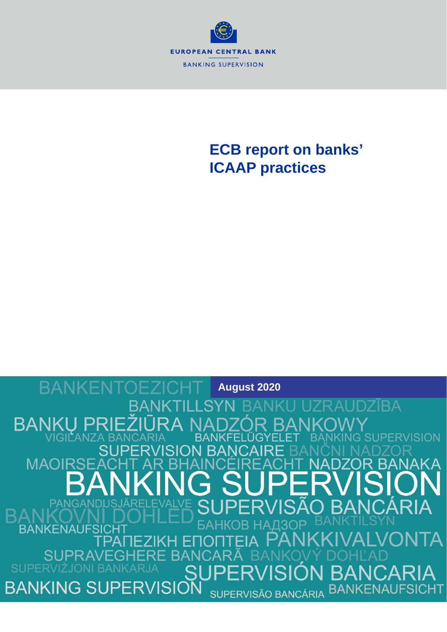

# **ECB report on banks' ICAAP practices**

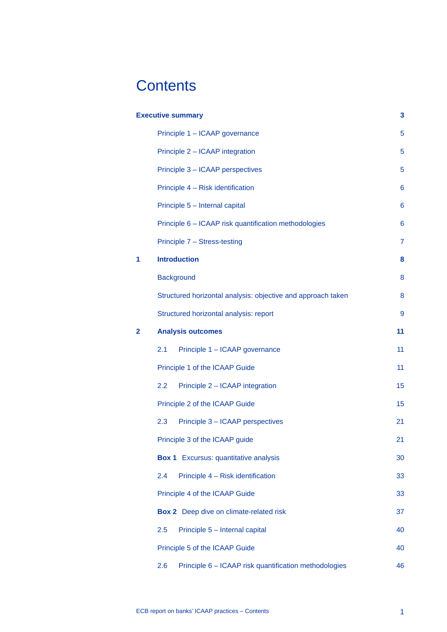# **Contents**

|   | <b>Executive summary</b>                                     |                  |  |  |
|---|--------------------------------------------------------------|------------------|--|--|
|   | Principle 1 - ICAAP governance                               | 5                |  |  |
|   | Principle 2 - ICAAP integration                              | 5                |  |  |
|   | Principle 3 - ICAAP perspectives                             | 5                |  |  |
|   | Principle 4 - Risk identification                            | 6                |  |  |
|   | Principle 5 - Internal capital                               | 6                |  |  |
|   | Principle 6 - ICAAP risk quantification methodologies        | 6                |  |  |
|   | Principle 7 - Stress-testing                                 | $\overline{7}$   |  |  |
| 1 | <b>Introduction</b>                                          | 8                |  |  |
|   | <b>Background</b>                                            | 8                |  |  |
|   | Structured horizontal analysis: objective and approach taken | 8                |  |  |
|   | Structured horizontal analysis: report                       | $\boldsymbol{9}$ |  |  |
| 2 | <b>Analysis outcomes</b>                                     | 11               |  |  |
|   | 2.1<br>Principle 1 - ICAAP governance                        | 11               |  |  |
|   | Principle 1 of the ICAAP Guide                               | 11               |  |  |
|   | 2.2<br>Principle 2 - ICAAP integration                       | 15               |  |  |
|   | Principle 2 of the ICAAP Guide                               | 15               |  |  |
|   | 2.3<br>Principle 3 - ICAAP perspectives                      | 21               |  |  |
|   | Principle 3 of the ICAAP guide                               | 21               |  |  |
|   | <b>Box 1</b> Excursus: quantitative analysis                 | 30               |  |  |
|   | 2.4<br>Principle 4 - Risk identification                     | 33               |  |  |
|   | Principle 4 of the ICAAP Guide                               | 33               |  |  |
|   | <b>Box 2</b> Deep dive on climate-related risk               | 37               |  |  |
|   | 2.5<br>Principle 5 - Internal capital                        | 40               |  |  |
|   | Principle 5 of the ICAAP Guide                               | 40               |  |  |
|   | 2.6<br>Principle 6 - ICAAP risk quantification methodologies | 46               |  |  |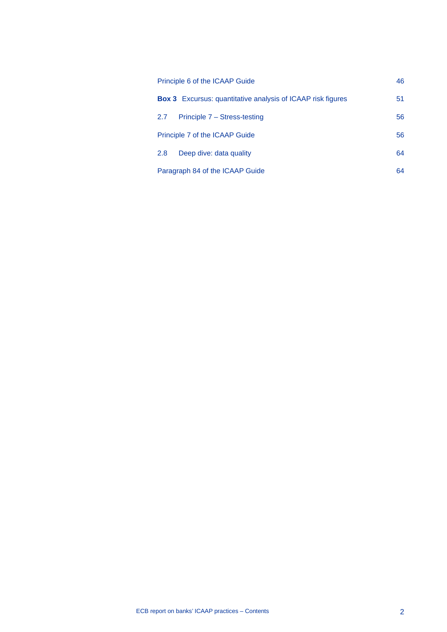| Principle 6 of the ICAAP Guide                                     |    |
|--------------------------------------------------------------------|----|
| <b>Box 3</b> Excursus: quantitative analysis of ICAAP risk figures | 51 |
| Principle 7 - Stress-testing<br>2.7                                | 56 |
| Principle 7 of the ICAAP Guide                                     |    |
| 2.8<br>Deep dive: data quality                                     | 64 |
| Paragraph 84 of the ICAAP Guide                                    |    |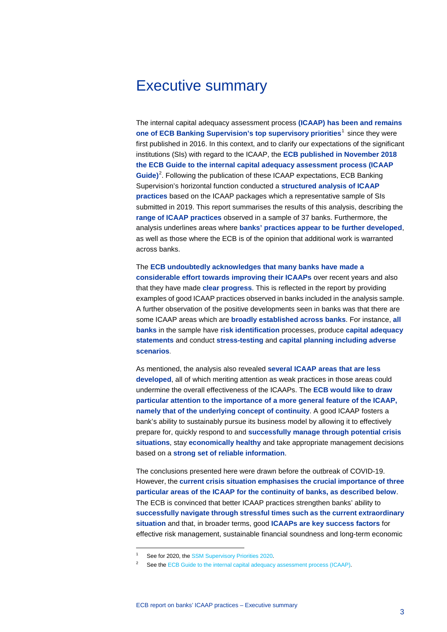# <span id="page-3-0"></span>Executive summary

The internal capital adequacy assessment process **(ICAAP) has been and remains one of ECB Banking Supervision's top supervisory priorities**<sup>[1](#page-3-1)</sup> since they were first published in 2016. In this context, and to clarify our expectations of the significant institutions (SIs) with regard to the ICAAP, the **ECB published in November 2018 the ECB Guide to the internal capital adequacy assessment process (ICAAP**  Guide)<sup>[2](#page-3-2)</sup>. Following the publication of these ICAAP expectations, ECB Banking Supervision's horizontal function conducted a **structured analysis of ICAAP practices** based on the ICAAP packages which a representative sample of SIs submitted in 2019. This report summarises the results of this analysis, describing the **range of ICAAP practices** observed in a sample of 37 banks. Furthermore, the analysis underlines areas where **banks' practices appear to be further developed**, as well as those where the ECB is of the opinion that additional work is warranted across banks.

The **ECB undoubtedly acknowledges that many banks have made a considerable effort towards improving their ICAAPs** over recent years and also that they have made **clear progress**. This is reflected in the report by providing examples of good ICAAP practices observed in banks included in the analysis sample. A further observation of the positive developments seen in banks was that there are some ICAAP areas which are **broadly established across banks**. For instance, **all banks** in the sample have **risk identification** processes, produce **capital adequacy statements** and conduct **stress-testing** and **capital planning including adverse scenarios**.

As mentioned, the analysis also revealed **several ICAAP areas that are less developed**, all of which meriting attention as weak practices in those areas could undermine the overall effectiveness of the ICAAPs. The **ECB would like to draw particular attention to the importance of a more general feature of the ICAAP, namely that of the underlying concept of continuity**. A good ICAAP fosters a bank's ability to sustainably pursue its business model by allowing it to effectively prepare for, quickly respond to and **successfully manage through potential crisis situations**, stay **economically healthy** and take appropriate management decisions based on a **strong set of reliable information**.

The conclusions presented here were drawn before the outbreak of COVID-19. However, the **current crisis situation emphasises the crucial importance of three particular areas of the ICAAP for the continuity of banks, as described below**. The ECB is convinced that better ICAAP practices strengthen banks' ability to **successfully navigate through stressful times such as the current extraordinary situation** and that, in broader terms, good **ICAAPs are key success factors** for effective risk management, sustainable financial soundness and long-term economic

<sup>1</sup> See for 2020, th[e SSM Supervisory Priorities 2020.](https://www.bankingsupervision.europa.eu/banking/priorities/pdf/ssm.supervisory_priorities2020%7Eb67449d936.en.pdf)

<span id="page-3-2"></span><span id="page-3-1"></span>See th[e ECB Guide to the internal capital adequacy assessment process \(ICAAP\).](https://www.bankingsupervision.europa.eu/ecb/pub/pdf/ssm.icaap_guide_201811.en.pdf)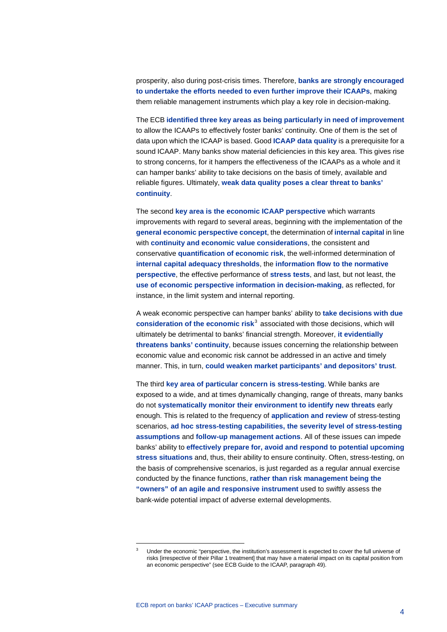prosperity, also during post-crisis times. Therefore, **banks are strongly encouraged to undertake the efforts needed to even further improve their ICAAPs**, making them reliable management instruments which play a key role in decision-making.

The ECB **identified three key areas as being particularly in need of improvement** to allow the ICAAPs to effectively foster banks' continuity. One of them is the set of data upon which the ICAAP is based. Good **ICAAP data quality** is a prerequisite for a sound ICAAP. Many banks show material deficiencies in this key area. This gives rise to strong concerns, for it hampers the effectiveness of the ICAAPs as a whole and it can hamper banks' ability to take decisions on the basis of timely, available and reliable figures. Ultimately, **weak data quality poses a clear threat to banks' continuity**.

The second **key area is the economic ICAAP perspective** which warrants improvements with regard to several areas, beginning with the implementation of the **general economic perspective concept**, the determination of **internal capital** in line with **continuity and economic value considerations**, the consistent and conservative **quantification of economic risk**, the well-informed determination of **internal capital adequacy thresholds**, the **information flow to the normative perspective**, the effective performance of **stress tests**, and last, but not least, the **use of economic perspective information in decision-making**, as reflected, for instance, in the limit system and internal reporting.

A weak economic perspective can hamper banks' ability to **take decisions with due consideration of the economic risk<sup>[3](#page-4-0)</sup> associated with those decisions, which will** ultimately be detrimental to banks' financial strength. Moreover, **it evidentially threatens banks' continuity**, because issues concerning the relationship between economic value and economic risk cannot be addressed in an active and timely manner. This, in turn, **could weaken market participants' and depositors' trust**.

The third **key area of particular concern is stress-testing**. While banks are exposed to a wide, and at times dynamically changing, range of threats, many banks do not **systematically monitor their environment to identify new threats** early enough. This is related to the frequency of **application and review** of stress-testing scenarios, **ad hoc stress-testing capabilities, the severity level of stress-testing assumptions** and **follow-up management actions**. All of these issues can impede banks' ability to **effectively prepare for, avoid and respond to potential upcoming stress situations** and, thus, their ability to ensure continuity. Often, stress-testing, on the basis of comprehensive scenarios, is just regarded as a regular annual exercise conducted by the finance functions, **rather than risk management being the "owners" of an agile and responsive instrument** used to swiftly assess the bank-wide potential impact of adverse external developments.

<span id="page-4-0"></span>Under the economic "perspective, the institution's assessment is expected to cover the full universe of risks [irrespective of their Pillar 1 treatment] that may have a material impact on its capital position from an economic perspective" (see ECB Guide to the ICAAP, paragraph 49).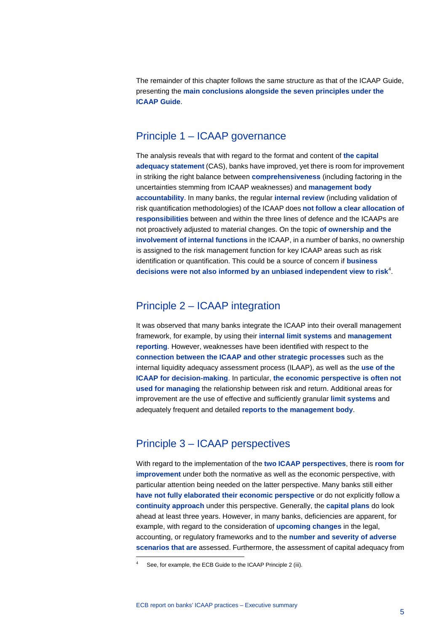The remainder of this chapter follows the same structure as that of the ICAAP Guide, presenting the **main conclusions alongside the seven principles under the ICAAP Guide**.

# <span id="page-5-0"></span>Principle 1 – ICAAP governance

The analysis reveals that with regard to the format and content of **the capital adequacy statement** (CAS), banks have improved, yet there is room for improvement in striking the right balance between **comprehensiveness** (including factoring in the uncertainties stemming from ICAAP weaknesses) and **management body accountability**. In many banks, the regular **internal review** (including validation of risk quantification methodologies) of the ICAAP does **not follow a clear allocation of responsibilities** between and within the three lines of defence and the ICAAPs are not proactively adjusted to material changes. On the topic **of ownership and the involvement of internal functions** in the ICAAP, in a number of banks, no ownership is assigned to the risk management function for key ICAAP areas such as risk identification or quantification. This could be a source of concern if **business**  decisions were not also informed by an unbiased independent view to risk<sup>[4](#page-5-3)</sup>.

# <span id="page-5-1"></span>Principle 2 – ICAAP integration

It was observed that many banks integrate the ICAAP into their overall management framework, for example, by using their **internal limit systems** and **management reporting**. However, weaknesses have been identified with respect to the **connection between the ICAAP and other strategic processes** such as the internal liquidity adequacy assessment process (ILAAP), as well as the **use of the ICAAP for decision-making**. In particular, **the economic perspective is often not used for managing** the relationship between risk and return. Additional areas for improvement are the use of effective and sufficiently granular **limit systems** and adequately frequent and detailed **reports to the management body**.

# <span id="page-5-2"></span>Principle 3 – ICAAP perspectives

With regard to the implementation of the **two ICAAP perspectives**, there is **room for improvement** under both the normative as well as the economic perspective, with particular attention being needed on the latter perspective. Many banks still either **have not fully elaborated their economic perspective** or do not explicitly follow a **continuity approach** under this perspective. Generally, the **capital plans** do look ahead at least three years. However, in many banks, deficiencies are apparent, for example, with regard to the consideration of **upcoming changes** in the legal, accounting, or regulatory frameworks and to the **number and severity of adverse scenarios that are** assessed. Furthermore, the assessment of capital adequacy from

<span id="page-5-3"></span>See, for example, the ECB Guide to the ICAAP Principle 2 (iii).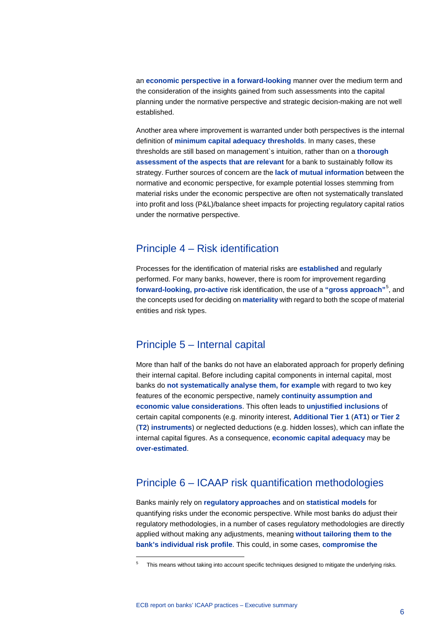an **economic perspective in a forward-looking** manner over the medium term and the consideration of the insights gained from such assessments into the capital planning under the normative perspective and strategic decision-making are not well established.

Another area where improvement is warranted under both perspectives is the internal definition of **minimum capital adequacy thresholds**. In many cases, these thresholds are still based on management`s intuition, rather than on a **thorough assessment of the aspects that are relevant** for a bank to sustainably follow its strategy. Further sources of concern are the **lack of mutual information** between the normative and economic perspective, for example potential losses stemming from material risks under the economic perspective are often not systematically translated into profit and loss (P&L)/balance sheet impacts for projecting regulatory capital ratios under the normative perspective.

# <span id="page-6-0"></span>Principle 4 – Risk identification

Processes for the identification of material risks are **established** and regularly performed. For many banks, however, there is room for improvement regarding **forward-looking, pro-active** risk identification, the use of a **"gross approach"**[5](#page-6-3) , and the concepts used for deciding on **materiality** with regard to both the scope of material entities and risk types.

# <span id="page-6-1"></span>Principle 5 – Internal capital

More than half of the banks do not have an elaborated approach for properly defining their internal capital. Before including capital components in internal capital, most banks do **not systematically analyse them, for example** with regard to two key features of the economic perspective, namely **continuity assumption and economic value considerations**. This often leads to **unjustified inclusions** of certain capital components (e.g. minority interest, **Additional Tier 1** (**AT1**) **or Tier 2** (**T2**) **instruments**) or neglected deductions (e.g. hidden losses), which can inflate the internal capital figures. As a consequence, **economic capital adequacy** may be **over-estimated**.

# <span id="page-6-2"></span>Principle 6 – ICAAP risk quantification methodologies

Banks mainly rely on **regulatory approaches** and on **statistical models** for quantifying risks under the economic perspective. While most banks do adjust their regulatory methodologies, in a number of cases regulatory methodologies are directly applied without making any adjustments, meaning **without tailoring them to the bank's individual risk profile**. This could, in some cases, **compromise the** 

<span id="page-6-3"></span><sup>&</sup>lt;sup>5</sup> This means without taking into account specific techniques designed to mitigate the underlying risks.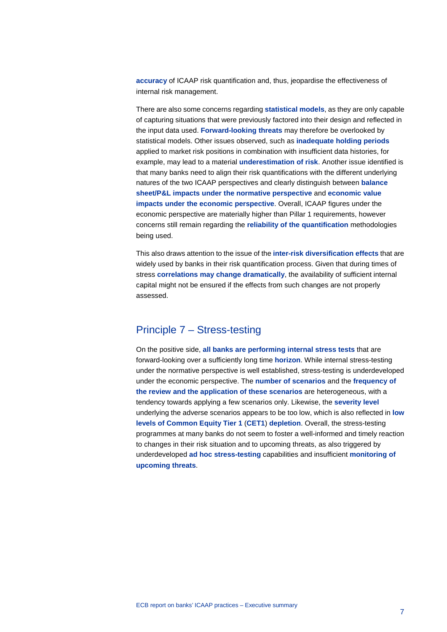**accuracy** of ICAAP risk quantification and, thus, jeopardise the effectiveness of internal risk management.

There are also some concerns regarding **statistical models**, as they are only capable of capturing situations that were previously factored into their design and reflected in the input data used. **Forward-looking threats** may therefore be overlooked by statistical models. Other issues observed, such as **inadequate holding periods** applied to market risk positions in combination with insufficient data histories, for example, may lead to a material **underestimation of risk**. Another issue identified is that many banks need to align their risk quantifications with the different underlying natures of the two ICAAP perspectives and clearly distinguish between **balance sheet/P&L impacts under the normative perspective** and **economic value impacts under the economic perspective**. Overall, ICAAP figures under the economic perspective are materially higher than Pillar 1 requirements, however concerns still remain regarding the **reliability of the quantification** methodologies being used.

This also draws attention to the issue of the **inter-risk diversification effects** that are widely used by banks in their risk quantification process. Given that during times of stress **correlations may change dramatically**, the availability of sufficient internal capital might not be ensured if the effects from such changes are not properly assessed.

# <span id="page-7-0"></span>Principle 7 – Stress-testing

On the positive side, **all banks are performing internal stress tests** that are forward-looking over a sufficiently long time **horizon**. While internal stress-testing under the normative perspective is well established, stress-testing is underdeveloped under the economic perspective. The **number of scenarios** and the **frequency of the review and the application of these scenarios** are heterogeneous, with a tendency towards applying a few scenarios only. Likewise, the **severity level** underlying the adverse scenarios appears to be too low, which is also reflected in **low levels of Common Equity Tier 1** (**CET1**) **depletion**. Overall, the stress-testing programmes at many banks do not seem to foster a well-informed and timely reaction to changes in their risk situation and to upcoming threats, as also triggered by underdeveloped **ad hoc stress-testing** capabilities and insufficient **monitoring of upcoming threats**.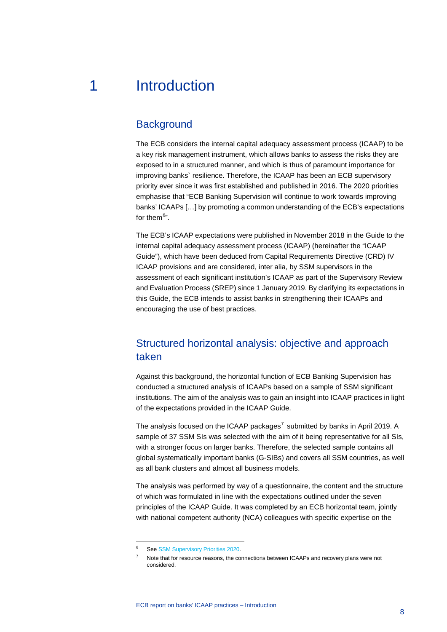# 1 Introduction

# <span id="page-8-1"></span><span id="page-8-0"></span>**Background**

The ECB considers the internal capital adequacy assessment process (ICAAP) to be a key risk management instrument, which allows banks to assess the risks they are exposed to in a structured manner, and which is thus of paramount importance for improving banks` resilience. Therefore, the ICAAP has been an ECB supervisory priority ever since it was first established and published in 2016. The 2020 priorities emphasise that "ECB Banking Supervision will continue to work towards improving banks' ICAAPs […] by promoting a common understanding of the ECB's expectations for them<sup>[6](#page-8-3)</sup>".

The ECB's ICAAP expectations were published in November 2018 in the Guide to the internal capital adequacy assessment process (ICAAP) (hereinafter the "ICAAP Guide"), which have been deduced from Capital Requirements Directive (CRD) IV ICAAP provisions and are considered, inter alia, by SSM supervisors in the assessment of each significant institution's ICAAP as part of the Supervisory Review and Evaluation Process (SREP) since 1 January 2019. By clarifying its expectations in this Guide, the ECB intends to assist banks in strengthening their ICAAPs and encouraging the use of best practices.

# <span id="page-8-2"></span>Structured horizontal analysis: objective and approach taken

Against this background, the horizontal function of ECB Banking Supervision has conducted a structured analysis of ICAAPs based on a sample of SSM significant institutions. The aim of the analysis was to gain an insight into ICAAP practices in light of the expectations provided in the ICAAP Guide.

The analysis focused on the ICAAP packages<sup>[7](#page-8-4)</sup> submitted by banks in April 2019. A sample of 37 SSM SIs was selected with the aim of it being representative for all SIs, with a stronger focus on larger banks. Therefore, the selected sample contains all global systematically important banks (G-SIBs) and covers all SSM countries, as well as all bank clusters and almost all business models.

The analysis was performed by way of a questionnaire, the content and the structure of which was formulated in line with the expectations outlined under the seven principles of the ICAAP Guide. It was completed by an ECB horizontal team, jointly with national competent authority (NCA) colleagues with specific expertise on the

<span id="page-8-4"></span><span id="page-8-3"></span>Se[e SSM Supervisory Priorities 2020.](https://www.bankingsupervision.europa.eu/banking/priorities/pdf/ssm.supervisory_priorities2020%7Eb67449d936.en.pdf)

Note that for resource reasons, the connections between ICAAPs and recovery plans were not considered.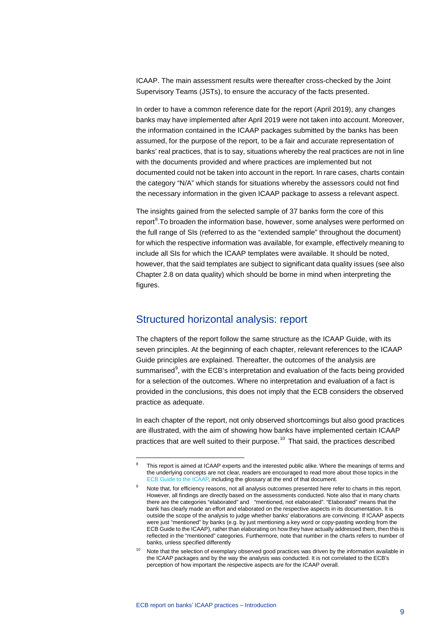ICAAP. The main assessment results were thereafter cross-checked by the Joint Supervisory Teams (JSTs), to ensure the accuracy of the facts presented.

In order to have a common reference date for the report (April 2019), any changes banks may have implemented after April 2019 were not taken into account. Moreover, the information contained in the ICAAP packages submitted by the banks has been assumed, for the purpose of the report, to be a fair and accurate representation of banks' real practices, that is to say, situations whereby the real practices are not in line with the documents provided and where practices are implemented but not documented could not be taken into account in the report. In rare cases, charts contain the category "N/A" which stands for situations whereby the assessors could not find the necessary information in the given ICAAP package to assess a relevant aspect.

The insights gained from the selected sample of 37 banks form the core of this report<sup>[8](#page-9-1)</sup>.To broaden the information base, however, some analyses were performed on the full range of SIs (referred to as the "extended sample" throughout the document) for which the respective information was available, for example, effectively meaning to include all SIs for which the ICAAP templates were available. It should be noted, however, that the said templates are subject to significant data quality issues (see also Chapter 2.8 on data quality) which should be borne in mind when interpreting the figures.

# <span id="page-9-0"></span>Structured horizontal analysis: report

The chapters of the report follow the same structure as the ICAAP Guide, with its seven principles. At the beginning of each chapter, relevant references to the ICAAP Guide principles are explained. Thereafter, the outcomes of the analysis are summarised<sup>[9](#page-9-2)</sup>, with the ECB's interpretation and evaluation of the facts being provided for a selection of the outcomes. Where no interpretation and evaluation of a fact is provided in the conclusions, this does not imply that the ECB considers the observed practice as adequate.

In each chapter of the report, not only observed shortcomings but also good practices are illustrated, with the aim of showing how banks have implemented certain ICAAP practices that are well suited to their purpose.<sup>[10](#page-9-3)</sup> That said, the practices described

<span id="page-9-1"></span>This report is aimed at ICAAP experts and the interested public alike. Where the meanings of terms and the underlying concepts are not clear, readers are encouraged to read more about those topics in the [ECB Guide to the ICAAP,](https://www.bankingsupervision.europa.eu/ecb/pub/pdf/ssm.icaap_guide_201811.en.pdf) including the glossary at the end of that document.

<span id="page-9-2"></span>Note that, for efficiency reasons, not all analysis outcomes presented here refer to charts in this report. However, all findings are directly based on the assessments conducted. Note also that in many charts there are the categories "elaborated" and "mentioned, not elaborated". "Elaborated" means that the bank has clearly made an effort and elaborated on the respective aspects in its documentation. It is outside the scope of the analysis to judge whether banks' elaborations are convincing. If ICAAP aspects were just "mentioned" by banks (e.g. by just mentioning a key word or copy-pasting wording from the ECB Guide to the ICAAP), rather than elaborating on how they have actually addressed them, then this is reflected in the "mentioned" categories. Furthermore, note that number in the charts refers to number of banks, unless specified differently

<span id="page-9-3"></span><sup>&</sup>lt;sup>10</sup> Note that the selection of exemplary observed good practices was driven by the information available in the ICAAP packages and by the way the analysis was conducted. It is not correlated to the ECB's perception of how important the respective aspects are for the ICAAP overall.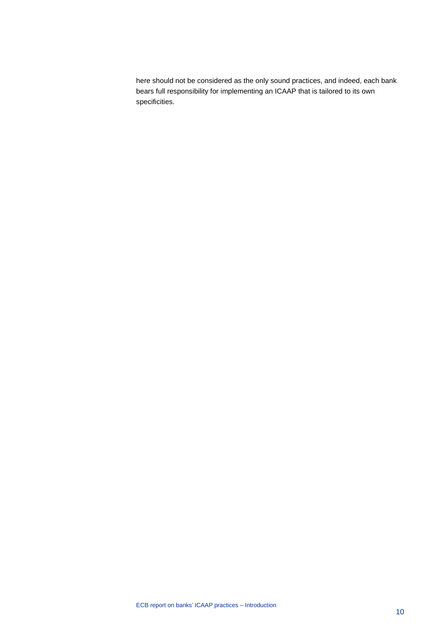here should not be considered as the only sound practices, and indeed, each bank bears full responsibility for implementing an ICAAP that is tailored to its own specificities.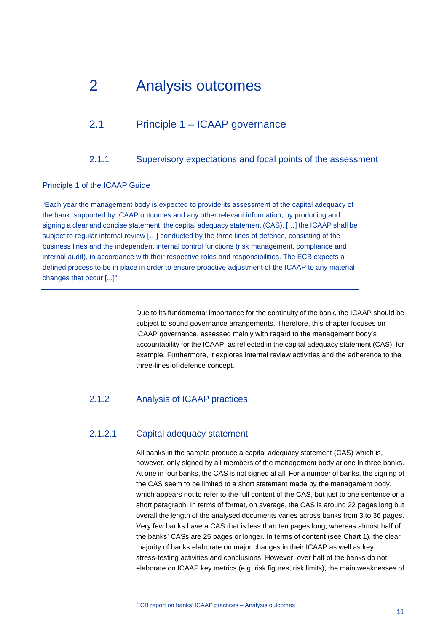# <span id="page-11-0"></span>2 Analysis outcomes

# <span id="page-11-1"></span>2.1 Principle 1 – ICAAP governance

# 2.1.1 Supervisory expectations and focal points of the assessment

### <span id="page-11-2"></span>Principle 1 of the ICAAP Guide

"Each year the management body is expected to provide its assessment of the capital adequacy of the bank, supported by ICAAP outcomes and any other relevant information, by producing and signing a clear and concise statement, the capital adequacy statement (CAS), […] the ICAAP shall be subject to regular internal review […] conducted by the three lines of defence, consisting of the business lines and the independent internal control functions (risk management, compliance and internal audit), in accordance with their respective roles and responsibilities. The ECB expects a defined process to be in place in order to ensure proactive adjustment of the ICAAP to any material changes that occur [...]".

> Due to its fundamental importance for the continuity of the bank, the ICAAP should be subject to sound governance arrangements. Therefore, this chapter focuses on ICAAP governance, assessed mainly with regard to the management body's accountability for the ICAAP, as reflected in the capital adequacy statement (CAS), for example. Furthermore, it explores internal review activities and the adherence to the three-lines-of-defence concept.

# 2.1.2 Analysis of ICAAP practices

# 2.1.2.1 Capital adequacy statement

All banks in the sample produce a capital adequacy statement (CAS) which is, however, only signed by all members of the management body at one in three banks. At one in four banks, the CAS is not signed at all. For a number of banks, the signing of the CAS seem to be limited to a short statement made by the management body, which appears not to refer to the full content of the CAS, but just to one sentence or a short paragraph. In terms of format, on average, the CAS is around 22 pages long but overall the length of the analysed documents varies across banks from 3 to 36 pages. Very few banks have a CAS that is less than ten pages long, whereas almost half of the banks' CASs are 25 pages or longer. In terms of content (see Chart 1), the clear majority of banks elaborate on major changes in their ICAAP as well as key stress-testing activities and conclusions. However, over half of the banks do not elaborate on ICAAP key metrics (e.g. risk figures, risk limits), the main weaknesses of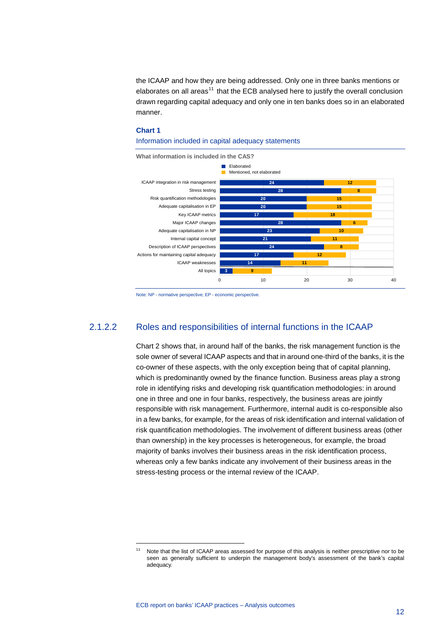the ICAAP and how they are being addressed. Only one in three banks mentions or elaborates on all areas<sup>[11](#page-12-0)</sup> that the ECB analysed here to justify the overall conclusion drawn regarding capital adequacy and only one in ten banks does so in an elaborated manner.

#### **Chart 1**



#### Information included in capital adequacy statements

Note: NP - normative perspective; EP - economic perspective.

# 2.1.2.2 Roles and responsibilities of internal functions in the ICAAP

Chart 2 shows that, in around half of the banks, the risk management function is the sole owner of several ICAAP aspects and that in around one-third of the banks, it is the co-owner of these aspects, with the only exception being that of capital planning, which is predominantly owned by the finance function. Business areas play a strong role in identifying risks and developing risk quantification methodologies: in around one in three and one in four banks, respectively, the business areas are jointly responsible with risk management. Furthermore, internal audit is co-responsible also in a few banks, for example, for the areas of risk identification and internal validation of risk quantification methodologies. The involvement of different business areas (other than ownership) in the key processes is heterogeneous, for example, the broad majority of banks involves their business areas in the risk identification process, whereas only a few banks indicate any involvement of their business areas in the stress-testing process or the internal review of the ICAAP.

<span id="page-12-0"></span>Note that the list of ICAAP areas assessed for purpose of this analysis is neither prescriptive nor to be seen as generally sufficient to underpin the management body's assessment of the bank's capital adequacy.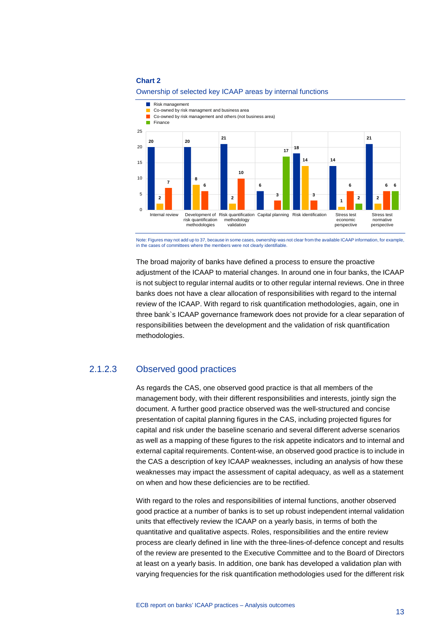

#### Ownership of selected key ICAAP areas by internal functions

Note: Figures may not add up to 37, because in some cases, ownership was not clear from the available ICAAP information, for example, in the cases of committees where the members were not clearly identifiable.

The broad majority of banks have defined a process to ensure the proactive adjustment of the ICAAP to material changes. In around one in four banks, the ICAAP is not subject to regular internal audits or to other regular internal reviews. One in three banks does not have a clear allocation of responsibilities with regard to the internal review of the ICAAP. With regard to risk quantification methodologies, again, one in three bank`s ICAAP governance framework does not provide for a clear separation of responsibilities between the development and the validation of risk quantification methodologies.

# 2.1.2.3 Observed good practices

As regards the CAS, one observed good practice is that all members of the management body, with their different responsibilities and interests, jointly sign the document. A further good practice observed was the well-structured and concise presentation of capital planning figures in the CAS, including projected figures for capital and risk under the baseline scenario and several different adverse scenarios as well as a mapping of these figures to the risk appetite indicators and to internal and external capital requirements. Content-wise, an observed good practice is to include in the CAS a description of key ICAAP weaknesses, including an analysis of how these weaknesses may impact the assessment of capital adequacy, as well as a statement on when and how these deficiencies are to be rectified.

With regard to the roles and responsibilities of internal functions, another observed good practice at a number of banks is to set up robust independent internal validation units that effectively review the ICAAP on a yearly basis, in terms of both the quantitative and qualitative aspects. Roles, responsibilities and the entire review process are clearly defined in line with the three-lines-of-defence concept and results of the review are presented to the Executive Committee and to the Board of Directors at least on a yearly basis. In addition, one bank has developed a validation plan with varying frequencies for the risk quantification methodologies used for the different risk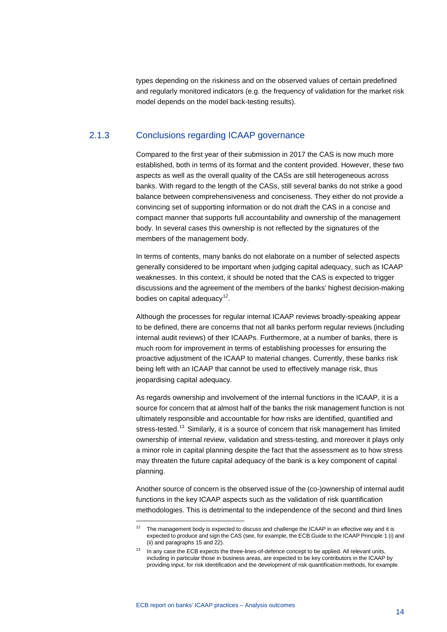types depending on the riskiness and on the observed values of certain predefined and regularly monitored indicators (e.g. the frequency of validation for the market risk model depends on the model back-testing results).

# 2.1.3 Conclusions regarding ICAAP governance

Compared to the first year of their submission in 2017 the CAS is now much more established, both in terms of its format and the content provided. However, these two aspects as well as the overall quality of the CASs are still heterogeneous across banks. With regard to the length of the CASs, still several banks do not strike a good balance between comprehensiveness and conciseness. They either do not provide a convincing set of supporting information or do not draft the CAS in a concise and compact manner that supports full accountability and ownership of the management body. In several cases this ownership is not reflected by the signatures of the members of the management body.

In terms of contents, many banks do not elaborate on a number of selected aspects generally considered to be important when judging capital adequacy, such as ICAAP weaknesses. In this context, it should be noted that the CAS is expected to trigger discussions and the agreement of the members of the banks' highest decision-making bodies on capital adequacy $12$ .

Although the processes for regular internal ICAAP reviews broadly-speaking appear to be defined, there are concerns that not all banks perform regular reviews (including internal audit reviews) of their ICAAPs. Furthermore, at a number of banks, there is much room for improvement in terms of establishing processes for ensuring the proactive adjustment of the ICAAP to material changes. Currently, these banks risk being left with an ICAAP that cannot be used to effectively manage risk, thus jeopardising capital adequacy.

As regards ownership and involvement of the internal functions in the ICAAP, it is a source for concern that at almost half of the banks the risk management function is not ultimately responsible and accountable for how risks are identified, quantified and stress-tested.<sup>[13](#page-14-1)</sup> Similarly, it is a source of concern that risk management has limited ownership of internal review, validation and stress-testing, and moreover it plays only a minor role in capital planning despite the fact that the assessment as to how stress may threaten the future capital adequacy of the bank is a key component of capital planning.

Another source of concern is the observed issue of the (co-)ownership of internal audit functions in the key ICAAP aspects such as the validation of risk quantification methodologies. This is detrimental to the independence of the second and third lines

<span id="page-14-0"></span> $12$  The management body is expected to discuss and challenge the ICAAP in an effective way and it is expected to produce and sign the CAS (see, for example, the ECB Guide to the ICAAP Principle 1 (i) and (ii) and paragraphs 15 and 22).

<span id="page-14-1"></span><sup>&</sup>lt;sup>13</sup> In any case the ECB expects the three-lines-of-defence concept to be applied. All relevant units, including in particular those in business areas, are expected to be key contributors in the ICAAP by providing input, for risk identification and the development of risk quantification methods, for example.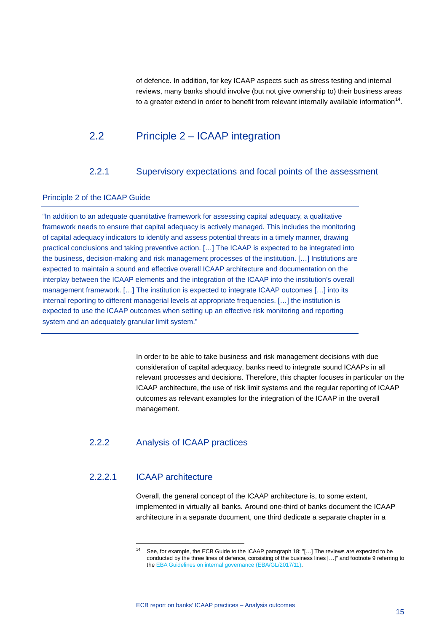<span id="page-15-0"></span>of defence. In addition, for key ICAAP aspects such as stress testing and internal reviews, many banks should involve (but not give ownership to) their business areas to a greater extend in order to benefit from relevant internally available information<sup>14</sup>.

# 2.2 Principle 2 – ICAAP integration

## 2.2.1 Supervisory expectations and focal points of the assessment

#### <span id="page-15-1"></span>Principle 2 of the ICAAP Guide

"In addition to an adequate quantitative framework for assessing capital adequacy, a qualitative framework needs to ensure that capital adequacy is actively managed. This includes the monitoring of capital adequacy indicators to identify and assess potential threats in a timely manner, drawing practical conclusions and taking preventive action. […] The ICAAP is expected to be integrated into the business, decision-making and risk management processes of the institution. […] Institutions are expected to maintain a sound and effective overall ICAAP architecture and documentation on the interplay between the ICAAP elements and the integration of the ICAAP into the institution's overall management framework. […] The institution is expected to integrate ICAAP outcomes […] into its internal reporting to different managerial levels at appropriate frequencies. […] the institution is expected to use the ICAAP outcomes when setting up an effective risk monitoring and reporting system and an adequately granular limit system."

> In order to be able to take business and risk management decisions with due consideration of capital adequacy, banks need to integrate sound ICAAPs in all relevant processes and decisions. Therefore, this chapter focuses in particular on the ICAAP architecture, the use of risk limit systems and the regular reporting of ICAAP outcomes as relevant examples for the integration of the ICAAP in the overall management.

# 2.2.2 Analysis of ICAAP practices

# <span id="page-15-2"></span>2.2.2.1 ICAAP architecture

-

Overall, the general concept of the ICAAP architecture is, to some extent, implemented in virtually all banks. Around one-third of banks document the ICAAP architecture in a separate document, one third dedicate a separate chapter in a

See, for example, the ECB Guide to the ICAAP paragraph 18: "[...] The reviews are expected to be conducted by the three lines of defence, consisting of the business lines […]" and footnote 9 referring to th[e EBA Guidelines on internal governance \(EBA/GL/2017/11\).](https://eba.europa.eu/sites/default/documents/files/documents/10180/1972987/eb859955-614a-4afb-bdcd-aaa664994889/Final%20Guidelines%20on%20Internal%20Governance%20(EBA-GL-2017-11).pdf)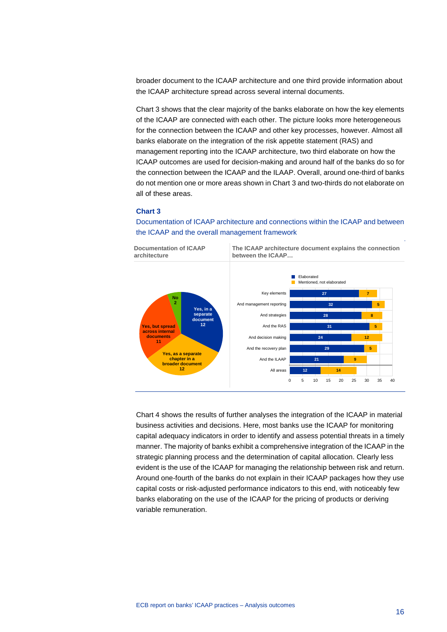broader document to the ICAAP architecture and one third provide information about the ICAAP architecture spread across several internal documents.

Chart 3 shows that the clear majority of the banks elaborate on how the key elements of the ICAAP are connected with each other. The picture looks more heterogeneous for the connection between the ICAAP and other key processes, however. Almost all banks elaborate on the integration of the risk appetite statement (RAS) and management reporting into the ICAAP architecture, two third elaborate on how the ICAAP outcomes are used for decision-making and around half of the banks do so for the connection between the ICAAP and the ILAAP. Overall, around one-third of banks do not mention one or more areas shown in Chart 3 and two-thirds do not elaborate on all of these areas.

#### **Chart 3**

Documentation of ICAAP architecture and connections within the ICAAP and between the ICAAP and the overall management framework



Chart 4 shows the results of further analyses the integration of the ICAAP in material business activities and decisions. Here, most banks use the ICAAP for monitoring capital adequacy indicators in order to identify and assess potential threats in a timely manner. The majority of banks exhibit a comprehensive integration of the ICAAP in the strategic planning process and the determination of capital allocation. Clearly less evident is the use of the ICAAP for managing the relationship between risk and return. Around one-fourth of the banks do not explain in their ICAAP packages how they use capital costs or risk-adjusted performance indicators to this end, with noticeably few banks elaborating on the use of the ICAAP for the pricing of products or deriving variable remuneration.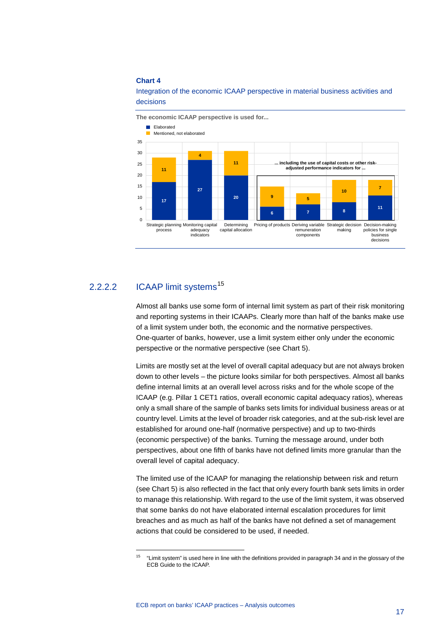

Integration of the economic ICAAP perspective in material business activities and decisions

# 2.2.2.2 ICAAP limit systems<sup>[15](#page-17-0)</sup>

-

Almost all banks use some form of internal limit system as part of their risk monitoring and reporting systems in their ICAAPs. Clearly more than half of the banks make use of a limit system under both, the economic and the normative perspectives. One-quarter of banks, however, use a limit system either only under the economic perspective or the normative perspective (see Chart 5).

Limits are mostly set at the level of overall capital adequacy but are not always broken down to other levels – the picture looks similar for both perspectives. Almost all banks define internal limits at an overall level across risks and for the whole scope of the ICAAP (e.g. Pillar 1 CET1 ratios, overall economic capital adequacy ratios), whereas only a small share of the sample of banks sets limits for individual business areas or at country level. Limits at the level of broader risk categories, and at the sub-risk level are established for around one-half (normative perspective) and up to two-thirds (economic perspective) of the banks. Turning the message around, under both perspectives, about one fifth of banks have not defined limits more granular than the overall level of capital adequacy.

The limited use of the ICAAP for managing the relationship between risk and return (see Chart 5) is also reflected in the fact that only every fourth bank sets limits in order to manage this relationship. With regard to the use of the limit system, it was observed that some banks do not have elaborated internal escalation procedures for limit breaches and as much as half of the banks have not defined a set of management actions that could be considered to be used, if needed.

<span id="page-17-0"></span><sup>&</sup>lt;sup>15</sup> "Limit system" is used here in line with the definitions provided in paragraph 34 and in the glossary of the ECB Guide to the ICAAP.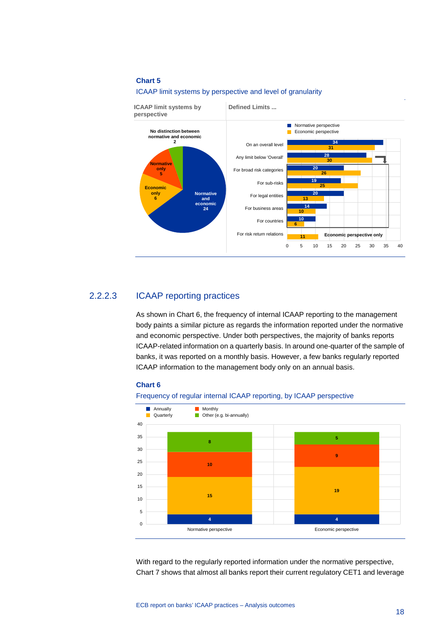



## 2.2.2.3 ICAAP reporting practices

As shown in Chart 6, the frequency of internal ICAAP reporting to the management body paints a similar picture as regards the information reported under the normative and economic perspective. Under both perspectives, the majority of banks reports ICAAP-related information on a quarterly basis. In around one-quarter of the sample of banks, it was reported on a monthly basis. However, a few banks regularly reported ICAAP information to the management body only on an annual basis.



#### Frequency of regular internal ICAAP reporting, by ICAAP perspective



With regard to the regularly reported information under the normative perspective, Chart 7 shows that almost all banks report their current regulatory CET1 and leverage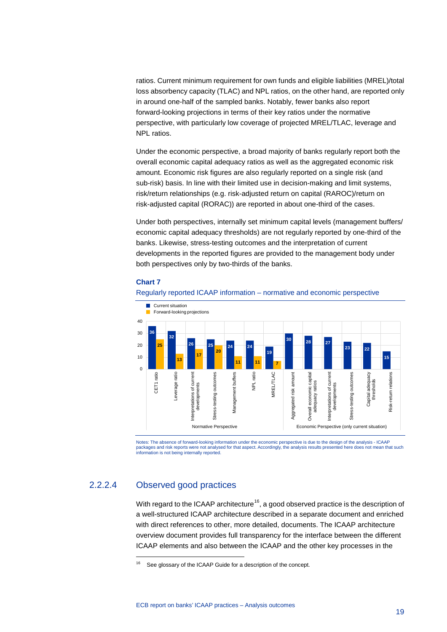ratios. Current minimum requirement for own funds and eligible liabilities (MREL)/total loss absorbency capacity (TLAC) and NPL ratios, on the other hand, are reported only in around one-half of the sampled banks. Notably, fewer banks also report forward-looking projections in terms of their key ratios under the normative perspective, with particularly low coverage of projected MREL/TLAC, leverage and NPL ratios.

Under the economic perspective, a broad majority of banks regularly report both the overall economic capital adequacy ratios as well as the aggregated economic risk amount. Economic risk figures are also regularly reported on a single risk (and sub-risk) basis. In line with their limited use in decision-making and limit systems, risk/return relationships (e.g. risk-adjusted return on capital (RAROC)/return on risk-adjusted capital (RORAC)) are reported in about one-third of the cases.

Under both perspectives, internally set minimum capital levels (management buffers/ economic capital adequacy thresholds) are not regularly reported by one-third of the banks. Likewise, stress-testing outcomes and the interpretation of current developments in the reported figures are provided to the management body under both perspectives only by two-thirds of the banks.

#### **Chart 7**





Notes: The absence of forward-looking information under the economic perspective is due to the design of the analysis - ICAAP packages and risk reports were not analysed for that aspect. Accordingly, the analysis results presented here does not mean that such information is not being internally reported.

# <span id="page-19-0"></span>2.2.2.4 Observed good practices

-

With regard to the ICAAP architecture<sup>16</sup>, a good observed practice is the description of a well-structured ICAAP architecture described in a separate document and enriched with direct references to other, more detailed, documents. The ICAAP architecture overview document provides full transparency for the interface between the different ICAAP elements and also between the ICAAP and the other key processes in the

<sup>&</sup>lt;sup>16</sup> See glossary of the ICAAP Guide for a description of the concept.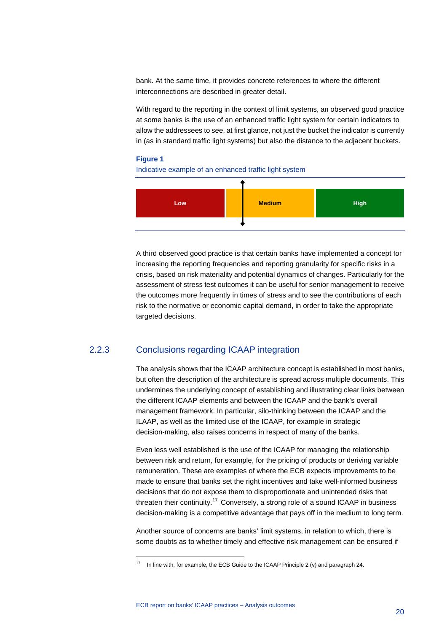bank. At the same time, it provides concrete references to where the different interconnections are described in greater detail.

With regard to the reporting in the context of limit systems, an observed good practice at some banks is the use of an enhanced traffic light system for certain indicators to allow the addressees to see, at first glance, not just the bucket the indicator is currently in (as in standard traffic light systems) but also the distance to the adjacent buckets.

#### **Figure 1**

Indicative example of an enhanced traffic light system



A third observed good practice is that certain banks have implemented a concept for increasing the reporting frequencies and reporting granularity for specific risks in a crisis, based on risk materiality and potential dynamics of changes. Particularly for the assessment of stress test outcomes it can be useful for senior management to receive the outcomes more frequently in times of stress and to see the contributions of each risk to the normative or economic capital demand, in order to take the appropriate targeted decisions.

# 2.2.3 Conclusions regarding ICAAP integration

The analysis shows that the ICAAP architecture concept is established in most banks, but often the description of the architecture is spread across multiple documents. This undermines the underlying concept of establishing and illustrating clear links between the different ICAAP elements and between the ICAAP and the bank's overall management framework. In particular, silo-thinking between the ICAAP and the ILAAP, as well as the limited use of the ICAAP, for example in strategic decision-making, also raises concerns in respect of many of the banks.

Even less well established is the use of the ICAAP for managing the relationship between risk and return, for example, for the pricing of products or deriving variable remuneration. These are examples of where the ECB expects improvements to be made to ensure that banks set the right incentives and take well-informed business decisions that do not expose them to disproportionate and unintended risks that threaten their continuity.<sup>[17](#page-20-0)</sup> Conversely, a strong role of a sound ICAAP in business decision-making is a competitive advantage that pays off in the medium to long term.

Another source of concerns are banks' limit systems, in relation to which, there is some doubts as to whether timely and effective risk management can be ensured if

<span id="page-20-0"></span> $17$  In line with, for example, the ECB Guide to the ICAAP Principle 2 (v) and paragraph 24.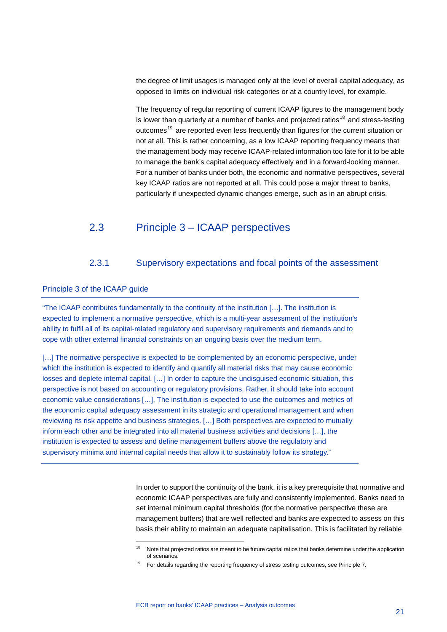the degree of limit usages is managed only at the level of overall capital adequacy, as opposed to limits on individual risk-categories or at a country level, for example.

The frequency of regular reporting of current ICAAP figures to the management body is lower than quarterly at a number of banks and projected ratios<sup>[18](#page-21-2)</sup> and stress-testing outcomes<sup>[19](#page-21-3)</sup> are reported even less frequently than figures for the current situation or not at all. This is rather concerning, as a low ICAAP reporting frequency means that the management body may receive ICAAP-related information too late for it to be able to manage the bank's capital adequacy effectively and in a forward-looking manner. For a number of banks under both, the economic and normative perspectives, several key ICAAP ratios are not reported at all. This could pose a major threat to banks, particularly if unexpected dynamic changes emerge, such as in an abrupt crisis.

# <span id="page-21-0"></span>2.3 Principle 3 – ICAAP perspectives

### 2.3.1 Supervisory expectations and focal points of the assessment

### <span id="page-21-1"></span>Principle 3 of the ICAAP guide

"The ICAAP contributes fundamentally to the continuity of the institution […]. The institution is expected to implement a normative perspective, which is a multi-year assessment of the institution's ability to fulfil all of its capital-related regulatory and supervisory requirements and demands and to cope with other external financial constraints on an ongoing basis over the medium term.

[...] The normative perspective is expected to be complemented by an economic perspective, under which the institution is expected to identify and quantify all material risks that may cause economic losses and deplete internal capital. […] In order to capture the undisguised economic situation, this perspective is not based on accounting or regulatory provisions. Rather, it should take into account economic value considerations […]. The institution is expected to use the outcomes and metrics of the economic capital adequacy assessment in its strategic and operational management and when reviewing its risk appetite and business strategies. […] Both perspectives are expected to mutually inform each other and be integrated into all material business activities and decisions […], the institution is expected to assess and define management buffers above the regulatory and supervisory minima and internal capital needs that allow it to sustainably follow its strategy."

-

In order to support the continuity of the bank, it is a key prerequisite that normative and economic ICAAP perspectives are fully and consistently implemented. Banks need to set internal minimum capital thresholds (for the normative perspective these are management buffers) that are well reflected and banks are expected to assess on this basis their ability to maintain an adequate capitalisation. This is facilitated by reliable

<span id="page-21-3"></span><span id="page-21-2"></span>Note that projected ratios are meant to be future capital ratios that banks determine under the application of scenarios.

<sup>19</sup> For details regarding the reporting frequency of stress testing outcomes, see Principle 7.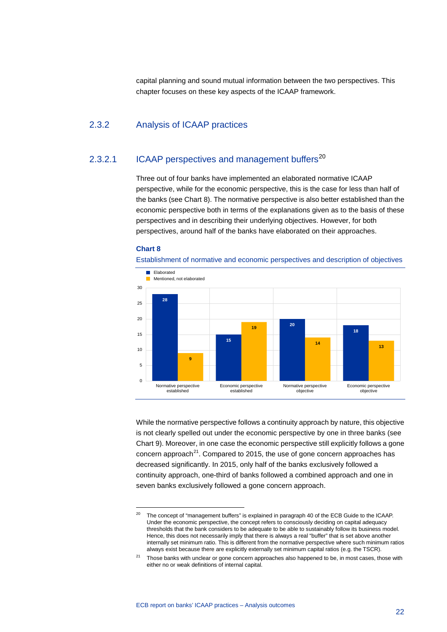capital planning and sound mutual information between the two perspectives. This chapter focuses on these key aspects of the ICAAP framework.

# 2.3.2 Analysis of ICAAP practices

# 2.3.2.1 ICAAP perspectives and management buffers<sup>[20](#page-22-0)</sup>

Three out of four banks have implemented an elaborated normative ICAAP perspective, while for the economic perspective, this is the case for less than half of the banks (see Chart 8). The normative perspective is also better established than the economic perspective both in terms of the explanations given as to the basis of these perspectives and in describing their underlying objectives. However, for both perspectives, around half of the banks have elaborated on their approaches.

#### **Chart 8**

-





While the normative perspective follows a continuity approach by nature, this objective is not clearly spelled out under the economic perspective by one in three banks (see Chart 9). Moreover, in one case the economic perspective still explicitly follows a gone concern approach $^{21}$ . Compared to 2015, the use of gone concern approaches has decreased significantly. In 2015, only half of the banks exclusively followed a continuity approach, one-third of banks followed a combined approach and one in seven banks exclusively followed a gone concern approach.

<span id="page-22-0"></span><sup>&</sup>lt;sup>20</sup> The concept of "management buffers" is explained in paragraph 40 of the ECB Guide to the ICAAP. Under the economic perspective, the concept refers to consciously deciding on capital adequacy thresholds that the bank considers to be adequate to be able to sustainably follow its business model. Hence, this does not necessarily imply that there is always a real "buffer" that is set above another internally set minimum ratio. This is different from the normative perspective where such minimum ratios always exist because there are explicitly externally set minimum capital ratios (e.g. the TSCR).

<span id="page-22-1"></span><sup>&</sup>lt;sup>21</sup> Those banks with unclear or gone concern approaches also happened to be, in most cases, those with either no or weak definitions of internal capital.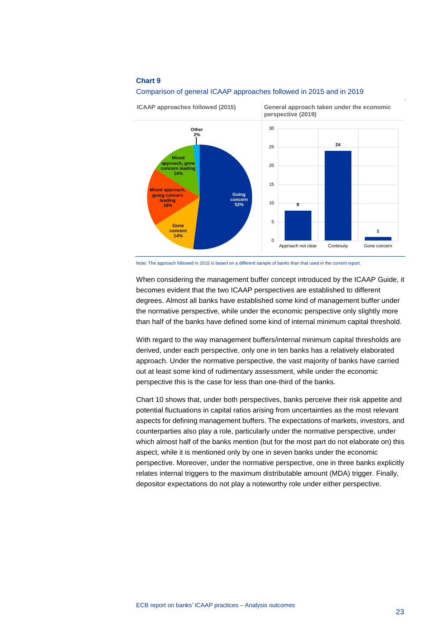



Note: The approach followed in 2015 is based on a different sample of banks than that used in the current report.

When considering the management buffer concept introduced by the ICAAP Guide, it becomes evident that the two ICAAP perspectives are established to different degrees. Almost all banks have established some kind of management buffer under the normative perspective, while under the economic perspective only slightly more than half of the banks have defined some kind of internal minimum capital threshold.

With regard to the way management buffers/internal minimum capital thresholds are derived, under each perspective, only one in ten banks has a relatively elaborated approach. Under the normative perspective, the vast majority of banks have carried out at least some kind of rudimentary assessment, while under the economic perspective this is the case for less than one-third of the banks.

Chart 10 shows that, under both perspectives, banks perceive their risk appetite and potential fluctuations in capital ratios arising from uncertainties as the most relevant aspects for defining management buffers. The expectations of markets, investors, and counterparties also play a role, particularly under the normative perspective, under which almost half of the banks mention (but for the most part do not elaborate on) this aspect, while it is mentioned only by one in seven banks under the economic perspective. Moreover, under the normative perspective, one in three banks explicitly relates internal triggers to the maximum distributable amount (MDA) trigger. Finally, depositor expectations do not play a noteworthy role under either perspective.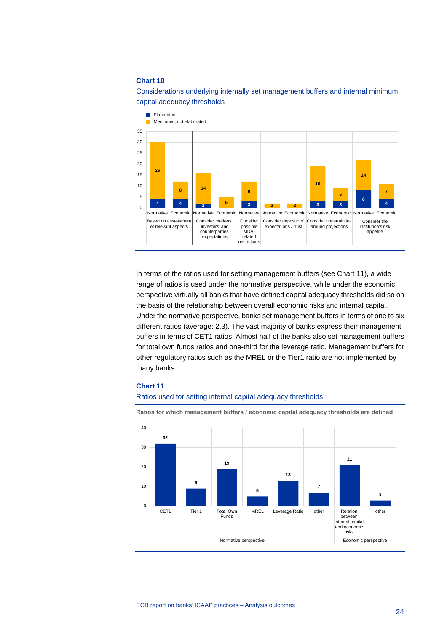

## Considerations underlying internally set management buffers and internal minimum capital adequacy thresholds

In terms of the ratios used for setting management buffers (see Chart 11), a wide range of ratios is used under the normative perspective, while under the economic perspective virtually all banks that have defined capital adequacy thresholds did so on the basis of the relationship between overall economic risks and internal capital. Under the normative perspective, banks set management buffers in terms of one to six different ratios (average: 2.3). The vast majority of banks express their management buffers in terms of CET1 ratios. Almost half of the banks also set management buffers for total own funds ratios and one-third for the leverage ratio. Management buffers for other regulatory ratios such as the MREL or the Tier1 ratio are not implemented by many banks.

#### **Chart 11**

#### Ratios used for setting internal capital adequacy thresholds



**Ratios for which management buffers / economic capital adequacy thresholds are defined**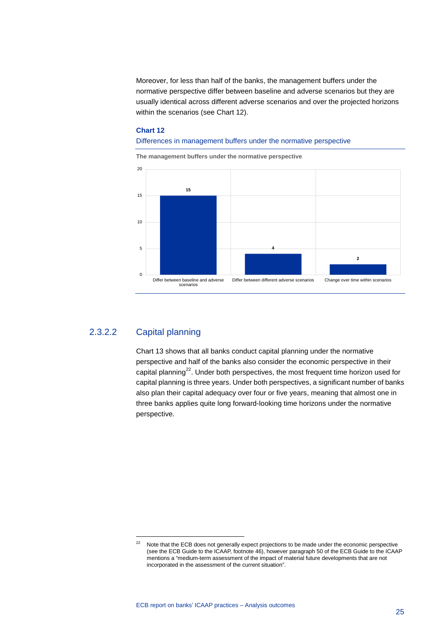Moreover, for less than half of the banks, the management buffers under the normative perspective differ between baseline and adverse scenarios but they are usually identical across different adverse scenarios and over the projected horizons within the scenarios (see Chart 12).

### **Chart 12**

#### Differences in management buffers under the normative perspective

**The management buffers under the normative perspective**



# 2.3.2.2 Capital planning

-

Chart 13 shows that all banks conduct capital planning under the normative perspective and half of the banks also consider the economic perspective in their capital planning<sup>22</sup>. Under both perspectives, the most frequent time horizon used for capital planning is three years. Under both perspectives, a significant number of banks also plan their capital adequacy over four or five years, meaning that almost one in three banks applies quite long forward-looking time horizons under the normative perspective.

<span id="page-25-0"></span><sup>&</sup>lt;sup>22</sup> Note that the ECB does not generally expect projections to be made under the economic perspective (see the ECB Guide to the ICAAP, footnote 46), however paragraph 50 of the ECB Guide to the ICAAP mentions a "medium-term assessment of the impact of material future developments that are not incorporated in the assessment of the current situation".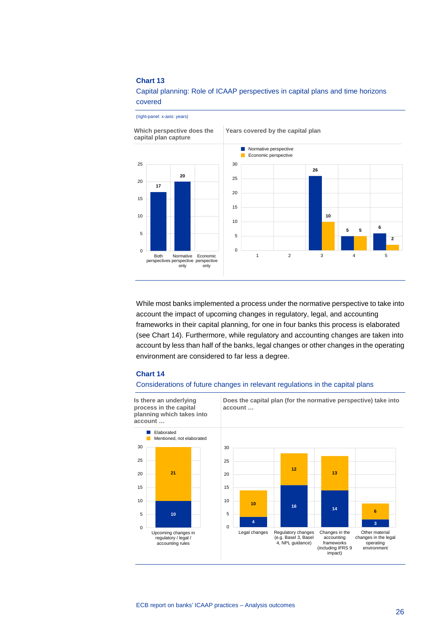(right-panel: x-axis: years)

Capital planning: Role of ICAAP perspectives in capital plans and time horizons covered

**Which perspective does the Years covered by the capital plan capital plan capture** Normative perspective Ħ Economic perspective 25 30 **26 20** 25 20 **17** 20 15 15 10 **10** 10 **<sup>5</sup> <sup>6</sup> 5** 5 5 **2**  $\mathbf 0$  $\mathbf 0$ Both 1 2 3 4 5 Normative Economic perspective perspectives perspective only only

While most banks implemented a process under the normative perspective to take into account the impact of upcoming changes in regulatory, legal, and accounting frameworks in their capital planning, for one in four banks this process is elaborated (see Chart 14). Furthermore, while regulatory and accounting changes are taken into account by less than half of the banks, legal changes or other changes in the operating environment are considered to far less a degree.

#### **Chart 14**

#### Considerations of future changes in relevant regulations in the capital plans

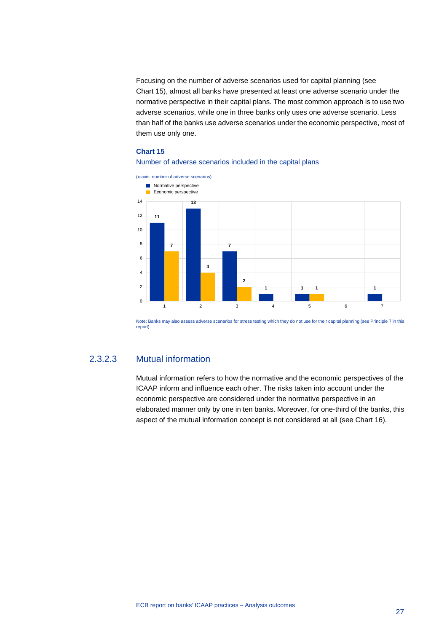Focusing on the number of adverse scenarios used for capital planning (see Chart 15), almost all banks have presented at least one adverse scenario under the normative perspective in their capital plans. The most common approach is to use two adverse scenarios, while one in three banks only uses one adverse scenario. Less than half of the banks use adverse scenarios under the economic perspective, most of them use only one.

#### **Chart 15**

#### Number of adverse scenarios included in the capital plans



Note: Banks may also assess adverse scenarios for stress testing which they do not use for their capital planning (see Principle 7 in this report).

# 2.3.2.3 Mutual information

Mutual information refers to how the normative and the economic perspectives of the ICAAP inform and influence each other. The risks taken into account under the economic perspective are considered under the normative perspective in an elaborated manner only by one in ten banks. Moreover, for one-third of the banks, this aspect of the mutual information concept is not considered at all (see Chart 16).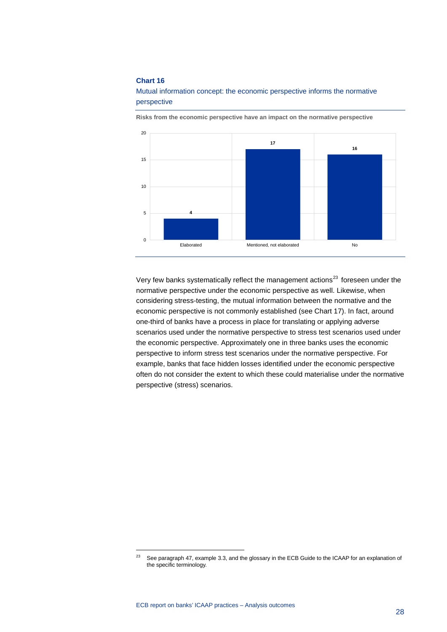



**Risks from the economic perspective have an impact on the normative perspective**

Very few banks systematically reflect the management actions<sup>[23](#page-28-0)</sup> foreseen under the normative perspective under the economic perspective as well. Likewise, when considering stress-testing, the mutual information between the normative and the economic perspective is not commonly established (see Chart 17). In fact, around one-third of banks have a process in place for translating or applying adverse scenarios used under the normative perspective to stress test scenarios used under the economic perspective. Approximately one in three banks uses the economic perspective to inform stress test scenarios under the normative perspective. For example, banks that face hidden losses identified under the economic perspective often do not consider the extent to which these could materialise under the normative perspective (stress) scenarios.

<span id="page-28-0"></span><sup>&</sup>lt;sup>23</sup> See paragraph 47, example 3.3, and the glossary in the ECB Guide to the ICAAP for an explanation of the specific terminology.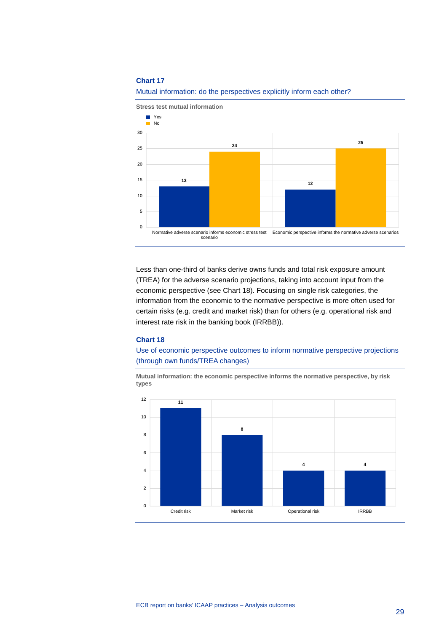

#### Mutual information: do the perspectives explicitly inform each other?

Less than one-third of banks derive owns funds and total risk exposure amount (TREA) for the adverse scenario projections, taking into account input from the economic perspective (see Chart 18). Focusing on single risk categories, the information from the economic to the normative perspective is more often used for certain risks (e.g. credit and market risk) than for others (e.g. operational risk and interest rate risk in the banking book (IRRBB)).

#### **Chart 18**

Use of economic perspective outcomes to inform normative perspective projections (through own funds/TREA changes)

**Mutual information: the economic perspective informs the normative perspective, by risk types**

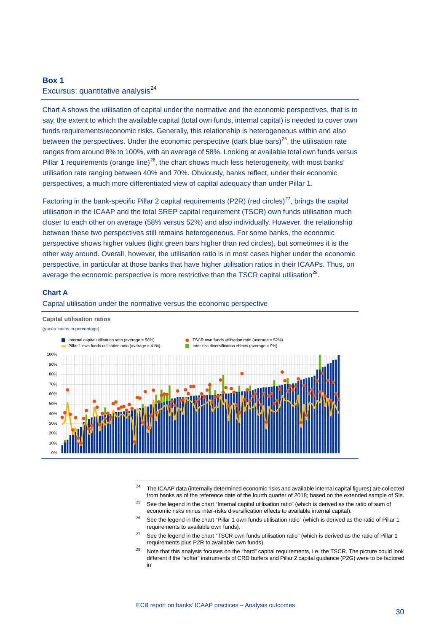# <span id="page-30-0"></span>**Box 1** Excursus: quantitative analysis<sup>[24](#page-30-1)</sup>

Chart A shows the utilisation of capital under the normative and the economic perspectives, that is to say, the extent to which the available capital (total own funds, internal capital) is needed to cover own funds requirements/economic risks. Generally, this relationship is heterogeneous within and also between the perspectives. Under the economic perspective (dark blue bars)<sup>[25](#page-30-2)</sup>, the utilisation rate ranges from around 8% to 100%, with an average of 58%. Looking at available total own funds versus Pillar 1 requirements (orange line)<sup>[26](#page-30-3)</sup>, the chart shows much less heterogeneity, with most banks' utilisation rate ranging between 40% and 70%. Obviously, banks reflect, under their economic perspectives, a much more differentiated view of capital adequacy than under Pillar 1.

Factoring in the bank-specific Pillar 2 capital requirements (P2R) (red circles)<sup>[27](#page-30-4)</sup>, brings the capital utilisation in the ICAAP and the total SREP capital requirement (TSCR) own funds utilisation much closer to each other on average (58% versus 52%) and also individually. However, the relationship between these two perspectives still remains heterogeneous. For some banks, the economic perspective shows higher values (light green bars higher than red circles), but sometimes it is the other way around. Overall, however, the utilisation ratio is in most cases higher under the economic perspective, in particular at those banks that have higher utilisation ratios in their ICAAPs. Thus, on average the economic perspective is more restrictive than the TSCR capital utilisation<sup>[28](#page-30-5)</sup>.

#### **Chart A**

#### Capital utilisation under the normative versus the economic perspective

-

#### **Capital utilisation ratios**

#### (y-axis: ratios in percentage)



- <sup>24</sup> The ICAAP data (internally determined economic risks and available internal capital figures) are collected from banks as of the reference date of the fourth quarter of 2018; based on the extended sample of SIs.
- <span id="page-30-2"></span><span id="page-30-1"></span> $25$  See the legend in the chart "Internal capital utilisation ratio" (which is derived as the ratio of sum of economic risks minus inter-risks diversification effects to available internal capital).
- <span id="page-30-3"></span><sup>26</sup> See the legend in the chart "Pillar 1 own funds utilisation ratio" (which is derived as the ratio of Pillar 1 requirements to available own funds).
- <span id="page-30-4"></span> $27$  See the legend in the chart "TSCR own funds utilisation ratio" (which is derived as the ratio of Pillar 1 requirements plus P2R to available own funds).
- <span id="page-30-5"></span><sup>28</sup> Note that this analysis focuses on the "hard" capital requirements, i.e. the TSCR. The picture could look different if the "softer" instruments of CRD buffers and Pillar 2 capital guidance (P2G) were to be factored in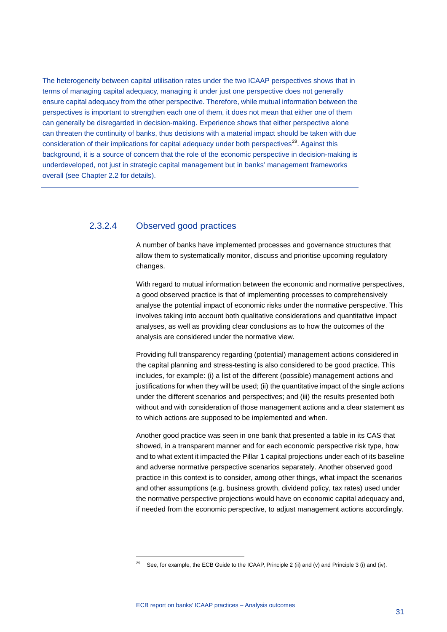The heterogeneity between capital utilisation rates under the two ICAAP perspectives shows that in terms of managing capital adequacy, managing it under just one perspective does not generally ensure capital adequacy from the other perspective. Therefore, while mutual information between the perspectives is important to strengthen each one of them, it does not mean that either one of them can generally be disregarded in decision-making. Experience shows that either perspective alone can threaten the continuity of banks, thus decisions with a material impact should be taken with due consideration of their implications for capital adequacy under both perspectives<sup>[29](#page-31-0)</sup>. Against this background, it is a source of concern that the role of the economic perspective in decision-making is underdeveloped, not just in strategic capital management but in banks' management frameworks overall (see Chapter 2.2 for details).

# 2.3.2.4 Observed good practices

A number of banks have implemented processes and governance structures that allow them to systematically monitor, discuss and prioritise upcoming regulatory changes.

With regard to mutual information between the economic and normative perspectives, a good observed practice is that of implementing processes to comprehensively analyse the potential impact of economic risks under the normative perspective. This involves taking into account both qualitative considerations and quantitative impact analyses, as well as providing clear conclusions as to how the outcomes of the analysis are considered under the normative view.

Providing full transparency regarding (potential) management actions considered in the capital planning and stress-testing is also considered to be good practice. This includes, for example: (i) a list of the different (possible) management actions and justifications for when they will be used; (ii) the quantitative impact of the single actions under the different scenarios and perspectives; and (iii) the results presented both without and with consideration of those management actions and a clear statement as to which actions are supposed to be implemented and when.

Another good practice was seen in one bank that presented a table in its CAS that showed, in a transparent manner and for each economic perspective risk type, how and to what extent it impacted the Pillar 1 capital projections under each of its baseline and adverse normative perspective scenarios separately. Another observed good practice in this context is to consider, among other things, what impact the scenarios and other assumptions (e.g. business growth, dividend policy, tax rates) used under the normative perspective projections would have on economic capital adequacy and, if needed from the economic perspective, to adjust management actions accordingly.

<span id="page-31-0"></span><sup>&</sup>lt;sup>29</sup> See, for example, the ECB Guide to the ICAAP, Principle 2 (ii) and (v) and Principle 3 (i) and (iv).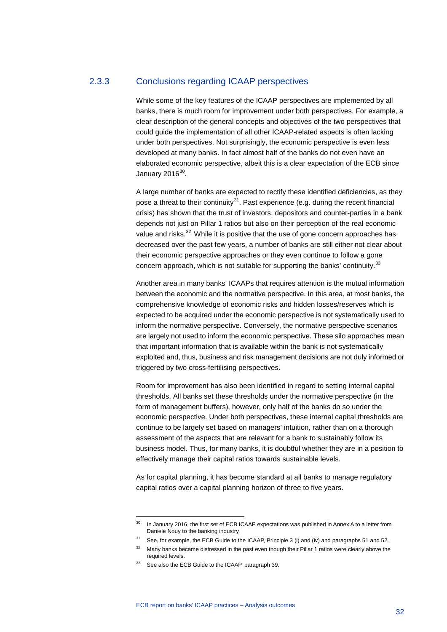# 2.3.3 Conclusions regarding ICAAP perspectives

While some of the key features of the ICAAP perspectives are implemented by all banks, there is much room for improvement under both perspectives. For example, a clear description of the general concepts and objectives of the two perspectives that could guide the implementation of all other ICAAP-related aspects is often lacking under both perspectives. Not surprisingly, the economic perspective is even less developed at many banks. In fact almost half of the banks do not even have an elaborated economic perspective, albeit this is a clear expectation of the ECB since January  $2016^{30}$  $2016^{30}$  $2016^{30}$ .

A large number of banks are expected to rectify these identified deficiencies, as they pose a threat to their continuity<sup>31</sup>. Past experience (e.g. during the recent financial crisis) has shown that the trust of investors, depositors and counter-parties in a bank depends not just on Pillar 1 ratios but also on their perception of the real economic value and risks.<sup>[32](#page-32-2)</sup> While it is positive that the use of gone concern approaches has decreased over the past few years, a number of banks are still either not clear about their economic perspective approaches or they even continue to follow a gone concern approach, which is not suitable for supporting the banks' continuity.<sup>[33](#page-32-3)</sup>

Another area in many banks' ICAAPs that requires attention is the mutual information between the economic and the normative perspective. In this area, at most banks, the comprehensive knowledge of economic risks and hidden losses/reserves which is expected to be acquired under the economic perspective is not systematically used to inform the normative perspective. Conversely, the normative perspective scenarios are largely not used to inform the economic perspective. These silo approaches mean that important information that is available within the bank is not systematically exploited and, thus, business and risk management decisions are not duly informed or triggered by two cross-fertilising perspectives.

Room for improvement has also been identified in regard to setting internal capital thresholds. All banks set these thresholds under the normative perspective (in the form of management buffers), however, only half of the banks do so under the economic perspective. Under both perspectives, these internal capital thresholds are continue to be largely set based on managers' intuition, rather than on a thorough assessment of the aspects that are relevant for a bank to sustainably follow its business model. Thus, for many banks, it is doubtful whether they are in a position to effectively manage their capital ratios towards sustainable levels.

As for capital planning, it has become standard at all banks to manage regulatory capital ratios over a capital planning horizon of three to five years.

<span id="page-32-0"></span><sup>&</sup>lt;sup>30</sup> In January 2016, the first set of ECB ICAAP expectations was published in Annex A to a letter from Daniele Nouy to the banking industry.

<sup>&</sup>lt;sup>31</sup> See, for example, the ECB Guide to the ICAAP, Principle 3 (i) and (iv) and paragraphs 51 and 52.

<span id="page-32-2"></span><span id="page-32-1"></span><sup>&</sup>lt;sup>32</sup> Many banks became distressed in the past even though their Pillar 1 ratios were clearly above the required levels.

<span id="page-32-3"></span><sup>33</sup> See also the ECB Guide to the ICAAP, paragraph 39.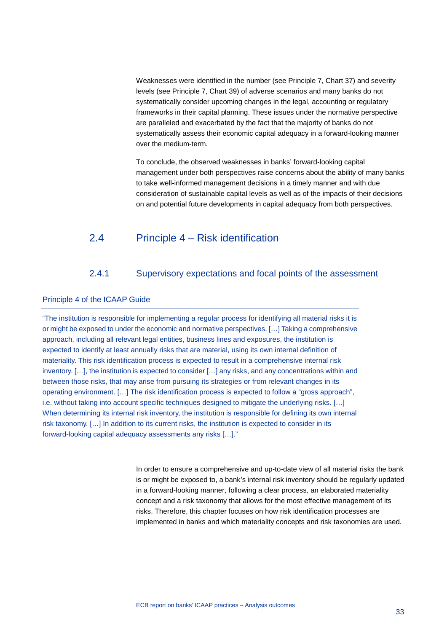Weaknesses were identified in the number (see Principle 7, Chart 37) and severity levels (see Principle 7, Chart 39) of adverse scenarios and many banks do not systematically consider upcoming changes in the legal, accounting or regulatory frameworks in their capital planning. These issues under the normative perspective are paralleled and exacerbated by the fact that the majority of banks do not systematically assess their economic capital adequacy in a forward-looking manner over the medium-term.

To conclude, the observed weaknesses in banks' forward-looking capital management under both perspectives raise concerns about the ability of many banks to take well-informed management decisions in a timely manner and with due consideration of sustainable capital levels as well as of the impacts of their decisions on and potential future developments in capital adequacy from both perspectives.

# <span id="page-33-0"></span>2.4 Principle 4 – Risk identification

# 2.4.1 Supervisory expectations and focal points of the assessment

### <span id="page-33-1"></span>Principle 4 of the ICAAP Guide

"The institution is responsible for implementing a regular process for identifying all material risks it is or might be exposed to under the economic and normative perspectives. […] Taking a comprehensive approach, including all relevant legal entities, business lines and exposures, the institution is expected to identify at least annually risks that are material, using its own internal definition of materiality. This risk identification process is expected to result in a comprehensive internal risk inventory. […], the institution is expected to consider […] any risks, and any concentrations within and between those risks, that may arise from pursuing its strategies or from relevant changes in its operating environment. […] The risk identification process is expected to follow a "gross approach", i.e. without taking into account specific techniques designed to mitigate the underlying risks. […] When determining its internal risk inventory, the institution is responsible for defining its own internal risk taxonomy. […] In addition to its current risks, the institution is expected to consider in its forward-looking capital adequacy assessments any risks […]."

> In order to ensure a comprehensive and up-to-date view of all material risks the bank is or might be exposed to, a bank's internal risk inventory should be regularly updated in a forward-looking manner, following a clear process, an elaborated materiality concept and a risk taxonomy that allows for the most effective management of its risks. Therefore, this chapter focuses on how risk identification processes are implemented in banks and which materiality concepts and risk taxonomies are used.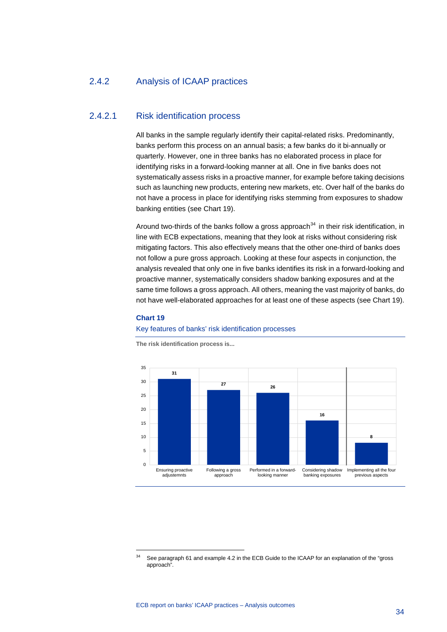# 2.4.2 Analysis of ICAAP practices

### 2.4.2.1 Risk identification process

All banks in the sample regularly identify their capital-related risks. Predominantly, banks perform this process on an annual basis; a few banks do it bi-annually or quarterly. However, one in three banks has no elaborated process in place for identifying risks in a forward-looking manner at all. One in five banks does not systematically assess risks in a proactive manner, for example before taking decisions such as launching new products, entering new markets, etc. Over half of the banks do not have a process in place for identifying risks stemming from exposures to shadow banking entities (see Chart 19).

Around two-thirds of the banks follow a gross approach<sup>[34](#page-34-0)</sup> in their risk identification, in line with ECB expectations, meaning that they look at risks without considering risk mitigating factors. This also effectively means that the other one-third of banks does not follow a pure gross approach. Looking at these four aspects in conjunction, the analysis revealed that only one in five banks identifies its risk in a forward-looking and proactive manner, systematically considers shadow banking exposures and at the same time follows a gross approach. All others, meaning the vast majority of banks, do not have well-elaborated approaches for at least one of these aspects (see Chart 19).

#### **Chart 19**

-

#### Key features of banks' risk identification processes



**The risk identification process is...**

<span id="page-34-0"></span>See paragraph 61 and example 4.2 in the ECB Guide to the ICAAP for an explanation of the "gross" approach".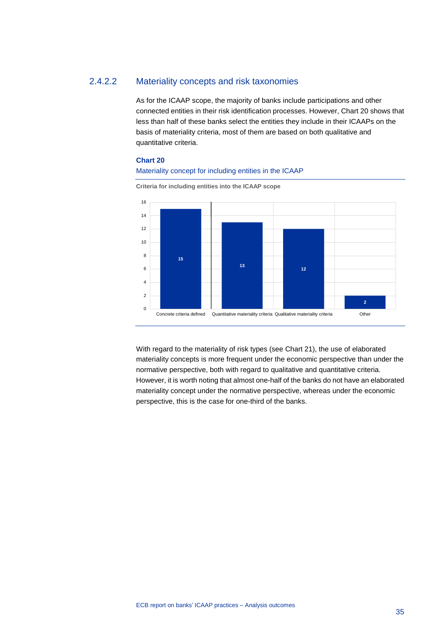# 2.4.2.2 Materiality concepts and risk taxonomies

As for the ICAAP scope, the majority of banks include participations and other connected entities in their risk identification processes. However, Chart 20 shows that less than half of these banks select the entities they include in their ICAAPs on the basis of materiality criteria, most of them are based on both qualitative and quantitative criteria.

#### **Chart 20**

#### Materiality concept for including entities in the ICAAP



**Criteria for including entities into the ICAAP scope**

With regard to the materiality of risk types (see Chart 21), the use of elaborated materiality concepts is more frequent under the economic perspective than under the normative perspective, both with regard to qualitative and quantitative criteria. However, it is worth noting that almost one-half of the banks do not have an elaborated materiality concept under the normative perspective, whereas under the economic perspective, this is the case for one-third of the banks.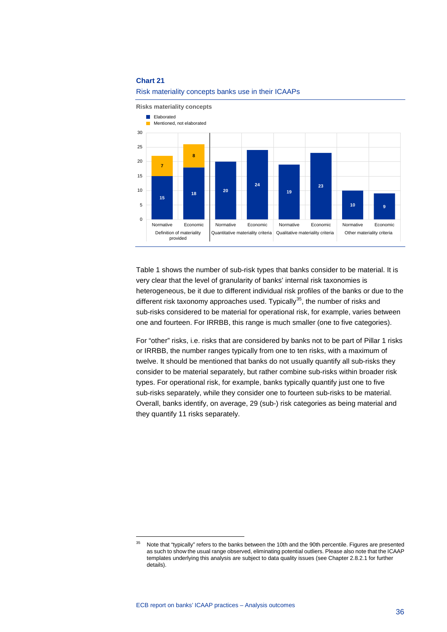

#### Risk materiality concepts banks use in their ICAAPs

Table 1 shows the number of sub-risk types that banks consider to be material. It is very clear that the level of granularity of banks' internal risk taxonomies is heterogeneous, be it due to different individual risk profiles of the banks or due to the different risk taxonomy approaches used. Typically<sup>[35](#page-36-0)</sup>, the number of risks and sub-risks considered to be material for operational risk, for example, varies between one and fourteen. For IRRBB, this range is much smaller (one to five categories).

For "other" risks, i.e. risks that are considered by banks not to be part of Pillar 1 risks or IRRBB, the number ranges typically from one to ten risks, with a maximum of twelve. It should be mentioned that banks do not usually quantify all sub-risks they consider to be material separately, but rather combine sub-risks within broader risk types. For operational risk, for example, banks typically quantify just one to five sub-risks separately, while they consider one to fourteen sub-risks to be material. Overall, banks identify, on average, 29 (sub-) risk categories as being material and they quantify 11 risks separately.

<span id="page-36-0"></span><sup>&</sup>lt;sup>35</sup> Note that "typically" refers to the banks between the 10th and the 90th percentile. Figures are presented as such to show the usual range observed, eliminating potential outliers. Please also note that the ICAAP templates underlying this analysis are subject to data quality issues (see Chapter 2.8.2.1 for further details).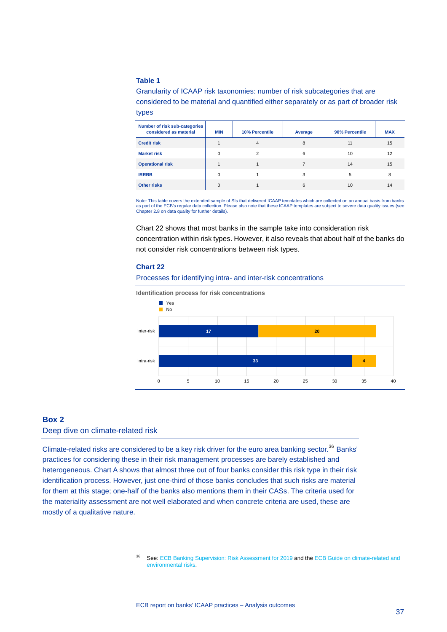### **Table 1**

Granularity of ICAAP risk taxonomies: number of risk subcategories that are considered to be material and quantified either separately or as part of broader risk types

| Number of risk sub-categories<br>considered as material | <b>MIN</b> | 10% Percentile | Average | 90% Percentile | <b>MAX</b> |
|---------------------------------------------------------|------------|----------------|---------|----------------|------------|
| <b>Credit risk</b>                                      |            | 4              | 8       | 11             | 15         |
| <b>Market risk</b>                                      | $\Omega$   | 2              | 6       | 10             | 12         |
| <b>Operational risk</b>                                 |            |                | 7       | 14             | 15         |
| <b>IRRBB</b>                                            | $\Omega$   |                | 3       | 5              | 8          |
| <b>Other risks</b>                                      | $\Omega$   |                | 6       | 10             | 14         |

Note: This table covers the extended sample of SIs that delivered ICAAP templates which are collected on an annual basis from banks as part of the ECB's regular data collection. Please also note that these ICAAP templates are subject to severe data quality issues (see Chapter 2.8 on data quality for further details).

Chart 22 shows that most banks in the sample take into consideration risk concentration within risk types. However, it also reveals that about half of the banks do not consider risk concentrations between risk types.

#### **Chart 22**

#### Processes for identifying intra- and inter-risk concentrations





### <span id="page-37-0"></span>**Box 2**

### Deep dive on climate-related risk

-

<span id="page-37-1"></span>Climate-related risks are considered to be a key risk driver for the euro area banking sector.<sup>[36](#page-37-1)</sup> Banks' practices for considering these in their risk management processes are barely established and heterogeneous. Chart A shows that almost three out of four banks consider this risk type in their risk identification process. However, just one-third of those banks concludes that such risks are material for them at this stage; one-half of the banks also mentions them in their CASs. The criteria used for the materiality assessment are not well elaborated and when concrete criteria are used, these are mostly of a qualitative nature.

<sup>&</sup>lt;sup>36</sup> See[: ECB Banking Supervision: Risk Assessment for 2019](https://www.bankingsupervision.europa.eu/ecb/pub/pdf/ra/ssm.ra2019.en.pdf) and the ECB Guide on climate-related and [environmental risks.](https://www.bankingsupervision.europa.eu/legalframework/publiccons/pdf/climate-related_risks/ssm.202005_draft_guide_on_climate-related_and_environmental_risks.en.pdf)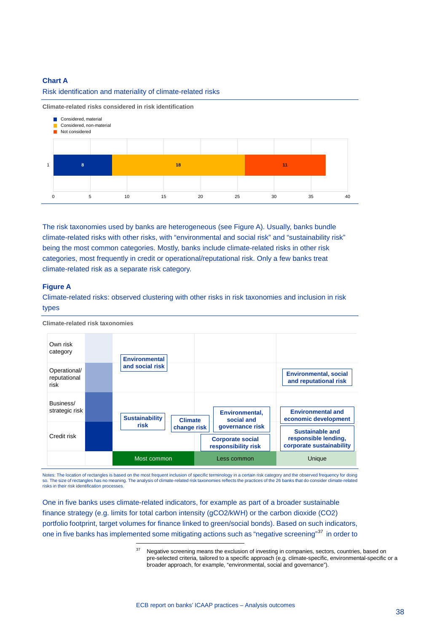#### **Chart A**

#### Risk identification and materiality of climate-related risks

**Climate-related risks considered in risk identification**



The risk taxonomies used by banks are heterogeneous (see Figure A). Usually, banks bundle climate-related risks with other risks, with "environmental and social risk" and "sustainability risk" being the most common categories. Mostly, banks include climate-related risks in other risk categories, most frequently in credit or operational/reputational risk. Only a few banks treat climate-related risk as a separate risk category.

#### **Figure A**

Climate-related risks: observed clustering with other risks in risk taxonomies and inclusion in risk types



**Climate-related risk taxonomies**

Notes: The location of rectangles is based on the most frequent inclusion of specific terminology in a certain risk category and the observed frequency for doing so. The size of rectangles has no meaning. The analysis of climate-related risk taxonomies reflects the practices of the 26 banks that do consider climate-related risks in their risk identification processes.

<span id="page-38-0"></span>One in five banks uses climate-related indicators, for example as part of a broader sustainable finance strategy (e.g. limits for total carbon intensity (gCO2/kWH) or the carbon dioxide (CO2) portfolio footprint, target volumes for finance linked to green/social bonds). Based on such indicators, one in five banks has implemented some mitigating actions such as "negative screening"<sup>[37](#page-38-0)</sup> in order to

Negative screening means the exclusion of investing in companies, sectors, countries, based on pre-selected criteria, tailored to a specific approach (e.g. climate-specific, environmental-specific or a broader approach, for example, "environmental, social and governance").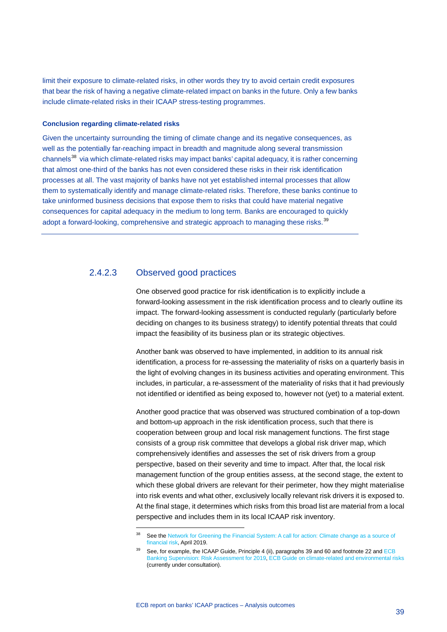limit their exposure to climate-related risks, in other words they try to avoid certain credit exposures that bear the risk of having a negative climate-related impact on banks in the future. Only a few banks include climate-related risks in their ICAAP stress-testing programmes.

#### **Conclusion regarding climate-related risks**

Given the uncertainty surrounding the timing of climate change and its negative consequences, as well as the potentially far-reaching impact in breadth and magnitude along several transmission channels<sup>[38](#page-39-0)</sup> via which climate-related risks may impact banks' capital adequacy, it is rather concerning that almost one-third of the banks has not even considered these risks in their risk identification processes at all. The vast majority of banks have not yet established internal processes that allow them to systematically identify and manage climate-related risks. Therefore, these banks continue to take uninformed business decisions that expose them to risks that could have material negative consequences for capital adequacy in the medium to long term. Banks are encouraged to quickly adopt a forward-looking, comprehensive and strategic approach to managing these risks.<sup>[39](#page-39-1)</sup>

## 2.4.2.3 Observed good practices

-

One observed good practice for risk identification is to explicitly include a forward-looking assessment in the risk identification process and to clearly outline its impact. The forward-looking assessment is conducted regularly (particularly before deciding on changes to its business strategy) to identify potential threats that could impact the feasibility of its business plan or its strategic objectives.

Another bank was observed to have implemented, in addition to its annual risk identification, a process for re-assessing the materiality of risks on a quarterly basis in the light of evolving changes in its business activities and operating environment. This includes, in particular, a re-assessment of the materiality of risks that it had previously not identified or identified as being exposed to, however not (yet) to a material extent.

Another good practice that was observed was structured combination of a top-down and bottom-up approach in the risk identification process, such that there is cooperation between group and local risk management functions. The first stage consists of a group risk committee that develops a global risk driver map, which comprehensively identifies and assesses the set of risk drivers from a group perspective, based on their severity and time to impact. After that, the local risk management function of the group entities assess, at the second stage, the extent to which these global drivers are relevant for their perimeter, how they might materialise into risk events and what other, exclusively locally relevant risk drivers it is exposed to. At the final stage, it determines which risks from this broad list are material from a local perspective and includes them in its local ICAAP risk inventory.

<span id="page-39-0"></span><sup>&</sup>lt;sup>38</sup> See the Network for Greening the Financial System: A call for action: Climate change as a source of [financial risk,](https://www.ngfs.net/sites/default/files/medias/documents/synthese_ngfs-2019_-_17042019_0.pdf) April 2019.

<span id="page-39-1"></span>See, for example, the ICAAP Guide, Principle 4 (ii), paragraphs 39 and 60 and footnote 22 and ECB [Banking Supervision: Risk Assessment for 2019,](https://www.bankingsupervision.europa.eu/ecb/pub/pdf/ra/ssm.ra2019.en.pdf) [ECB Guide on climate-related and environmental risks](https://www.bankingsupervision.europa.eu/legalframework/publiccons/pdf/climate-related_risks/ssm.202005_draft_guide_on_climate-related_and_environmental_risks.en.pdf) (currently under consultation).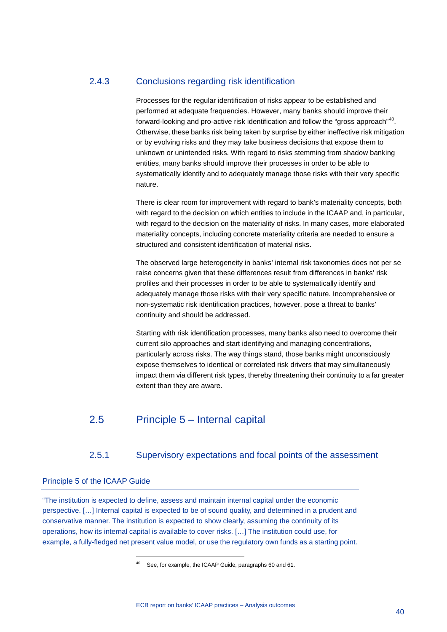# 2.4.3 Conclusions regarding risk identification

Processes for the regular identification of risks appear to be established and performed at adequate frequencies. However, many banks should improve their forward-looking and pro-active risk identification and follow the "gross approach" [40](#page-40-2). Otherwise, these banks risk being taken by surprise by either ineffective risk mitigation or by evolving risks and they may take business decisions that expose them to unknown or unintended risks. With regard to risks stemming from shadow banking entities, many banks should improve their processes in order to be able to systematically identify and to adequately manage those risks with their very specific nature.

There is clear room for improvement with regard to bank's materiality concepts, both with regard to the decision on which entities to include in the ICAAP and, in particular, with regard to the decision on the materiality of risks. In many cases, more elaborated materiality concepts, including concrete materiality criteria are needed to ensure a structured and consistent identification of material risks.

The observed large heterogeneity in banks' internal risk taxonomies does not per se raise concerns given that these differences result from differences in banks' risk profiles and their processes in order to be able to systematically identify and adequately manage those risks with their very specific nature. Incomprehensive or non-systematic risk identification practices, however, pose a threat to banks' continuity and should be addressed.

Starting with risk identification processes, many banks also need to overcome their current silo approaches and start identifying and managing concentrations, particularly across risks. The way things stand, those banks might unconsciously expose themselves to identical or correlated risk drivers that may simultaneously impact them via different risk types, thereby threatening their continuity to a far greater extent than they are aware.

# <span id="page-40-0"></span>2.5 Principle 5 – Internal capital

# 2.5.1 Supervisory expectations and focal points of the assessment

### <span id="page-40-1"></span>Principle 5 of the ICAAP Guide

-

<span id="page-40-2"></span>"The institution is expected to define, assess and maintain internal capital under the economic perspective. […] Internal capital is expected to be of sound quality, and determined in a prudent and conservative manner. The institution is expected to show clearly, assuming the continuity of its operations, how its internal capital is available to cover risks. […] The institution could use, for example, a fully-fledged net present value model, or use the regulatory own funds as a starting point.

<sup>40</sup> See, for example, the ICAAP Guide, paragraphs 60 and 61.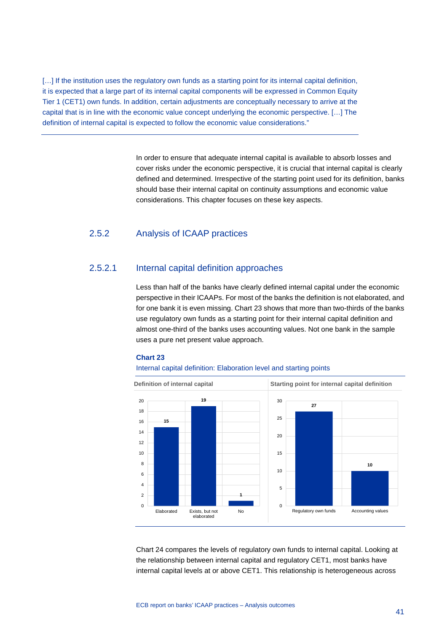[...] If the institution uses the regulatory own funds as a starting point for its internal capital definition, it is expected that a large part of its internal capital components will be expressed in Common Equity Tier 1 (CET1) own funds. In addition, certain adjustments are conceptually necessary to arrive at the capital that is in line with the economic value concept underlying the economic perspective. […] The definition of internal capital is expected to follow the economic value considerations."

> In order to ensure that adequate internal capital is available to absorb losses and cover risks under the economic perspective, it is crucial that internal capital is clearly defined and determined. Irrespective of the starting point used for its definition, banks should base their internal capital on continuity assumptions and economic value considerations. This chapter focuses on these key aspects.

# 2.5.2 Analysis of ICAAP practices

# 2.5.2.1 Internal capital definition approaches

Less than half of the banks have clearly defined internal capital under the economic perspective in their ICAAPs. For most of the banks the definition is not elaborated, and for one bank it is even missing. Chart 23 shows that more than two-thirds of the banks use regulatory own funds as a starting point for their internal capital definition and almost one-third of the banks uses accounting values. Not one bank in the sample uses a pure net present value approach.

#### **Chart 23**

#### Internal capital definition: Elaboration level and starting points



Chart 24 compares the levels of regulatory own funds to internal capital. Looking at the relationship between internal capital and regulatory CET1, most banks have internal capital levels at or above CET1. This relationship is heterogeneous across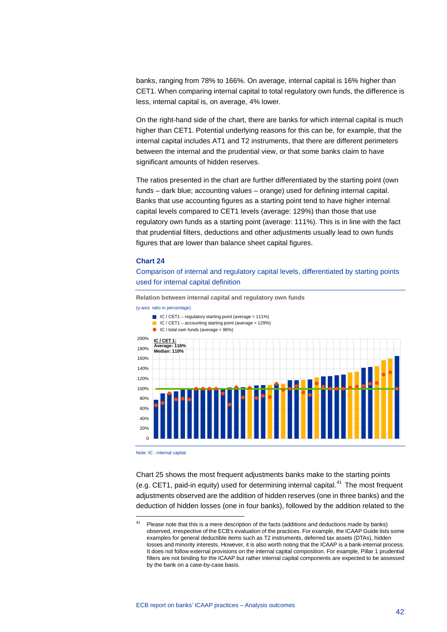banks, ranging from 78% to 166%. On average, internal capital is 16% higher than CET1. When comparing internal capital to total regulatory own funds, the difference is less, internal capital is, on average, 4% lower.

On the right-hand side of the chart, there are banks for which internal capital is much higher than CET1. Potential underlying reasons for this can be, for example, that the internal capital includes AT1 and T2 instruments, that there are different perimeters between the internal and the prudential view, or that some banks claim to have significant amounts of hidden reserves.

The ratios presented in the chart are further differentiated by the starting point (own funds – dark blue; accounting values – orange) used for defining internal capital. Banks that use accounting figures as a starting point tend to have higher internal capital levels compared to CET1 levels (average: 129%) than those that use regulatory own funds as a starting point (average: 111%). This is in line with the fact that prudential filters, deductions and other adjustments usually lead to own funds figures that are lower than balance sheet capital figures.

#### **Chart 24**

Comparison of internal and regulatory capital levels, differentiated by starting points used for internal capital definition

**Relation between internal capital and regulatory own funds**

 $\blacksquare$  IC / CET1 – regulatory starting point (average = 111%)

(y-axis: ratio in percentage)



Note: IC - internal capital.

-

Chart 25 shows the most frequent adjustments banks make to the starting points (e.g. CET1, paid-in equity) used for determining internal capital.<sup>[41](#page-42-0)</sup> The most frequent adjustments observed are the addition of hidden reserves (one in three banks) and the deduction of hidden losses (one in four banks), followed by the addition related to the

<span id="page-42-0"></span><sup>&</sup>lt;sup>41</sup> Please note that this is a mere description of the facts (additions and deductions made by banks) observed, irrespective of the ECB's evaluation of the practices. For example, the ICAAP Guide lists some examples for general deductible items such as T2 instruments, deferred tax assets (DTAs), hidden losses and minority interests. However, it is also worth noting that the ICAAP is a bank-internal process. It does not follow external provisions on the internal capital composition. For example, Pillar 1 prudential filters are not binding for the ICAAP but rather internal capital components are expected to be assessed by the bank on a case-by-case basis.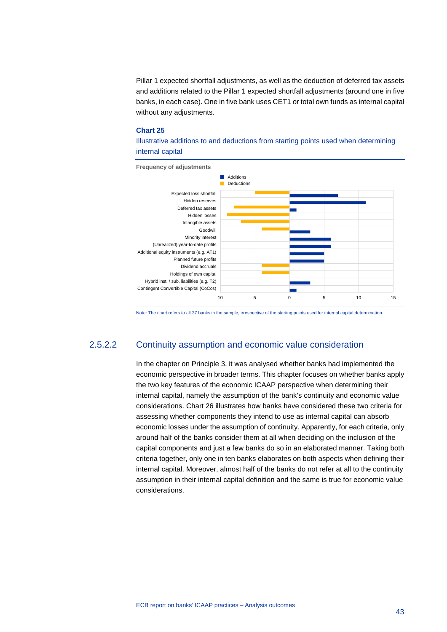Pillar 1 expected shortfall adjustments, as well as the deduction of deferred tax assets and additions related to the Pillar 1 expected shortfall adjustments (around one in five banks, in each case). One in five bank uses CET1 or total own funds as internal capital without any adjustments.

#### **Chart 25**

Illustrative additions to and deductions from starting points used when determining internal capital



Note: The chart refers to all 37 banks in the sample, irrespective of the starting points used for internal capital determination.

# 2.5.2.2 Continuity assumption and economic value consideration

In the chapter on Principle 3, it was analysed whether banks had implemented the economic perspective in broader terms. This chapter focuses on whether banks apply the two key features of the economic ICAAP perspective when determining their internal capital, namely the assumption of the bank's continuity and economic value considerations. Chart 26 illustrates how banks have considered these two criteria for assessing whether components they intend to use as internal capital can absorb economic losses under the assumption of continuity. Apparently, for each criteria, only around half of the banks consider them at all when deciding on the inclusion of the capital components and just a few banks do so in an elaborated manner. Taking both criteria together, only one in ten banks elaborates on both aspects when defining their internal capital. Moreover, almost half of the banks do not refer at all to the continuity assumption in their internal capital definition and the same is true for economic value considerations.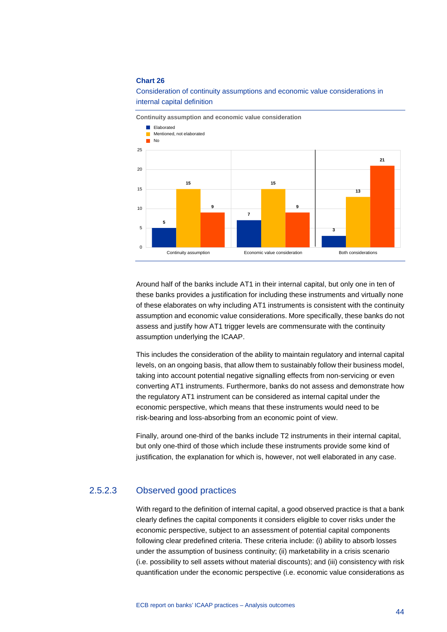

Consideration of continuity assumptions and economic value considerations in internal capital definition

Around half of the banks include AT1 in their internal capital, but only one in ten of these banks provides a justification for including these instruments and virtually none of these elaborates on why including AT1 instruments is consistent with the continuity assumption and economic value considerations. More specifically, these banks do not assess and justify how AT1 trigger levels are commensurate with the continuity assumption underlying the ICAAP.

This includes the consideration of the ability to maintain regulatory and internal capital levels, on an ongoing basis, that allow them to sustainably follow their business model, taking into account potential negative signalling effects from non-servicing or even converting AT1 instruments. Furthermore, banks do not assess and demonstrate how the regulatory AT1 instrument can be considered as internal capital under the economic perspective, which means that these instruments would need to be risk-bearing and loss-absorbing from an economic point of view.

Finally, around one-third of the banks include T2 instruments in their internal capital, but only one-third of those which include these instruments provide some kind of justification, the explanation for which is, however, not well elaborated in any case.

# 2.5.2.3 Observed good practices

With regard to the definition of internal capital, a good observed practice is that a bank clearly defines the capital components it considers eligible to cover risks under the economic perspective, subject to an assessment of potential capital components following clear predefined criteria. These criteria include: (i) ability to absorb losses under the assumption of business continuity; (ii) marketability in a crisis scenario (i.e. possibility to sell assets without material discounts); and (iii) consistency with risk quantification under the economic perspective (i.e. economic value considerations as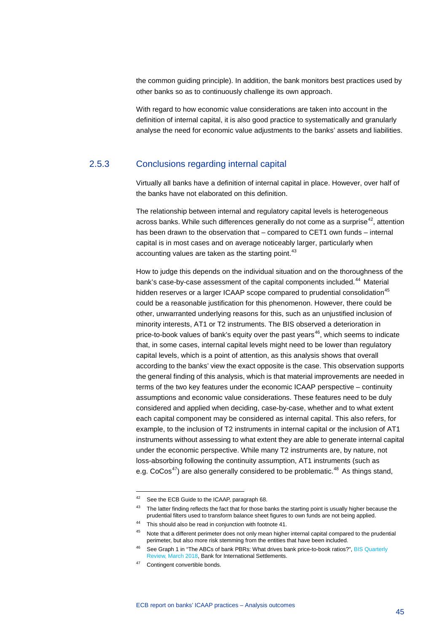the common guiding principle). In addition, the bank monitors best practices used by other banks so as to continuously challenge its own approach.

With regard to how economic value considerations are taken into account in the definition of internal capital, it is also good practice to systematically and granularly analyse the need for economic value adjustments to the banks' assets and liabilities.

## 2.5.3 Conclusions regarding internal capital

Virtually all banks have a definition of internal capital in place. However, over half of the banks have not elaborated on this definition.

The relationship between internal and regulatory capital levels is heterogeneous across banks. While such differences generally do not come as a surprise  $42$ , attention has been drawn to the observation that – compared to CET1 own funds – internal capital is in most cases and on average noticeably larger, particularly when accounting values are taken as the starting point.<sup>[43](#page-45-1)</sup>

How to judge this depends on the individual situation and on the thoroughness of the bank's case-by-case assessment of the capital components included.<sup>[44](#page-45-2)</sup> Material hidden reserves or a larger ICAAP scope compared to prudential consolidation<sup>[45](#page-45-3)</sup> could be a reasonable justification for this phenomenon. However, there could be other, unwarranted underlying reasons for this, such as an unjustified inclusion of minority interests, AT1 or T2 instruments. The BIS observed a deterioration in price-to-book values of bank's equity over the past years<sup>[46](#page-45-4)</sup>, which seems to indicate that, in some cases, internal capital levels might need to be lower than regulatory capital levels, which is a point of attention, as this analysis shows that overall according to the banks' view the exact opposite is the case. This observation supports the general finding of this analysis, which is that material improvements are needed in terms of the two key features under the economic ICAAP perspective – continuity assumptions and economic value considerations. These features need to be duly considered and applied when deciding, case-by-case, whether and to what extent each capital component may be considered as internal capital. This also refers, for example, to the inclusion of T2 instruments in internal capital or the inclusion of AT1 instruments without assessing to what extent they are able to generate internal capital under the economic perspective. While many T2 instruments are, by nature, not loss-absorbing following the continuity assumption, AT1 instruments (such as e.g.  $CoCos^{47}$  $CoCos^{47}$  $CoCos^{47}$ ) are also generally considered to be problematic.<sup>[48](#page-45-6)</sup> As things stand,

<span id="page-45-0"></span><sup>42</sup> See the ECB Guide to the ICAAP, paragraph 68.

<span id="page-45-1"></span><sup>&</sup>lt;sup>43</sup> The latter finding reflects the fact that for those banks the starting point is usually higher because the prudential filters used to transform balance sheet figures to own funds are not being applied.

<span id="page-45-2"></span><sup>44</sup> This should also be read in conjunction with footnote 41.

<span id="page-45-3"></span><sup>&</sup>lt;sup>45</sup> Note that a different perimeter does not only mean higher internal capital compared to the prudential perimeter, but also more risk stemming from the entities that have been included.

<span id="page-45-4"></span><sup>&</sup>lt;sup>46</sup> See Graph 1 in "The ABCs of bank PBRs: What drives bank price-to-book ratios?", BIS Quarterly [Review, March 2018,](https://www.bis.org/publ/qtrpdf/r_qt1803h.htm) Bank for International Settlements.

<span id="page-45-6"></span><span id="page-45-5"></span><sup>47</sup> Contingent convertible bonds.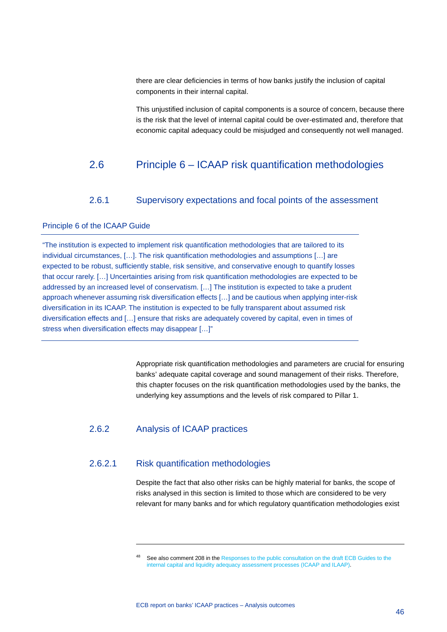there are clear deficiencies in terms of how banks justify the inclusion of capital components in their internal capital.

<span id="page-46-0"></span>This unjustified inclusion of capital components is a source of concern, because there is the risk that the level of internal capital could be over-estimated and, therefore that economic capital adequacy could be misjudged and consequently not well managed.

# 2.6 Principle 6 – ICAAP risk quantification methodologies

## 2.6.1 Supervisory expectations and focal points of the assessment

## <span id="page-46-1"></span>Principle 6 of the ICAAP Guide

"The institution is expected to implement risk quantification methodologies that are tailored to its individual circumstances, […]. The risk quantification methodologies and assumptions […] are expected to be robust, sufficiently stable, risk sensitive, and conservative enough to quantify losses that occur rarely. […] Uncertainties arising from risk quantification methodologies are expected to be addressed by an increased level of conservatism. […] The institution is expected to take a prudent approach whenever assuming risk diversification effects […] and be cautious when applying inter-risk diversification in its ICAAP. The institution is expected to be fully transparent about assumed risk diversification effects and […] ensure that risks are adequately covered by capital, even in times of stress when diversification effects may disappear […]"

> Appropriate risk quantification methodologies and parameters are crucial for ensuring banks' adequate capital coverage and sound management of their risks. Therefore, this chapter focuses on the risk quantification methodologies used by the banks, the underlying key assumptions and the levels of risk compared to Pillar 1.

# 2.6.2 Analysis of ICAAP practices

-

# 2.6.2.1 Risk quantification methodologies

Despite the fact that also other risks can be highly material for banks, the scope of risks analysed in this section is limited to those which are considered to be very relevant for many banks and for which regulatory quantification methodologies exist

See also comment 208 in the Responses to the public consultation on the draft ECB Guides to the internal capital and liquidity [adequacy assessment processes \(ICAAP and ILAAP\).](https://www.bankingsupervision.europa.eu/legalframework/publiccons/pdf/icaap_ilaap/ssm.feedbackstatement_201811.en.pdf)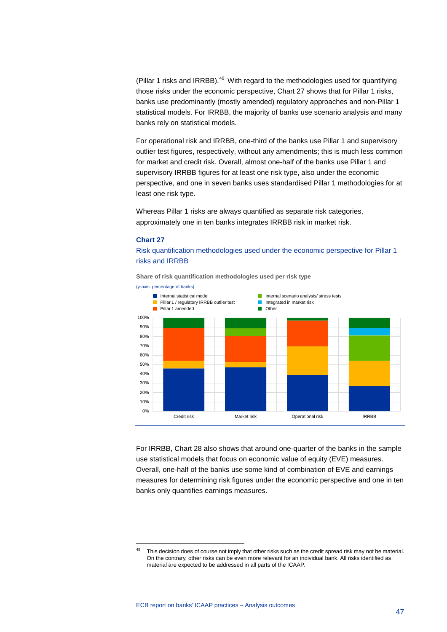(Pillar 1 risks and IRRBB). $49$  With regard to the methodologies used for quantifying those risks under the economic perspective, Chart 27 shows that for Pillar 1 risks, banks use predominantly (mostly amended) regulatory approaches and non-Pillar 1 statistical models. For IRRBB, the majority of banks use scenario analysis and many banks rely on statistical models.

For operational risk and IRRBB, one-third of the banks use Pillar 1 and supervisory outlier test figures, respectively, without any amendments; this is much less common for market and credit risk. Overall, almost one-half of the banks use Pillar 1 and supervisory IRRBB figures for at least one risk type, also under the economic perspective, and one in seven banks uses standardised Pillar 1 methodologies for at least one risk type.

Whereas Pillar 1 risks are always quantified as separate risk categories, approximately one in ten banks integrates IRRBB risk in market risk.

#### **Chart 27**

<span id="page-47-0"></span>-

Risk quantification methodologies used under the economic perspective for Pillar 1 risks and IRRBB



For IRRBB, Chart 28 also shows that around one-quarter of the banks in the sample use statistical models that focus on economic value of equity (EVE) measures. Overall, one-half of the banks use some kind of combination of EVE and earnings measures for determining risk figures under the economic perspective and one in ten banks only quantifies earnings measures.

This decision does of course not imply that other risks such as the credit spread risk may not be material. On the contrary, other risks can be even more relevant for an individual bank. All risks identified as material are expected to be addressed in all parts of the ICAAP.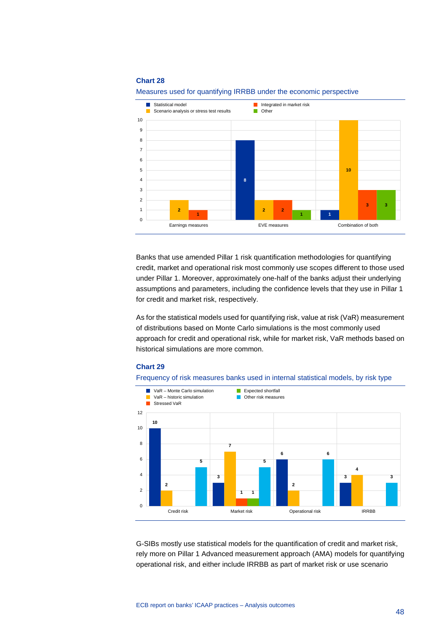

Measures used for quantifying IRRBB under the economic perspective

Banks that use amended Pillar 1 risk quantification methodologies for quantifying credit, market and operational risk most commonly use scopes different to those used under Pillar 1. Moreover, approximately one-half of the banks adjust their underlying assumptions and parameters, including the confidence levels that they use in Pillar 1 for credit and market risk, respectively.

As for the statistical models used for quantifying risk, value at risk (VaR) measurement of distributions based on Monte Carlo simulations is the most commonly used approach for credit and operational risk, while for market risk, VaR methods based on historical simulations are more common.

### **Chart 29**





G-SIBs mostly use statistical models for the quantification of credit and market risk, rely more on Pillar 1 Advanced measurement approach (AMA) models for quantifying operational risk, and either include IRRBB as part of market risk or use scenario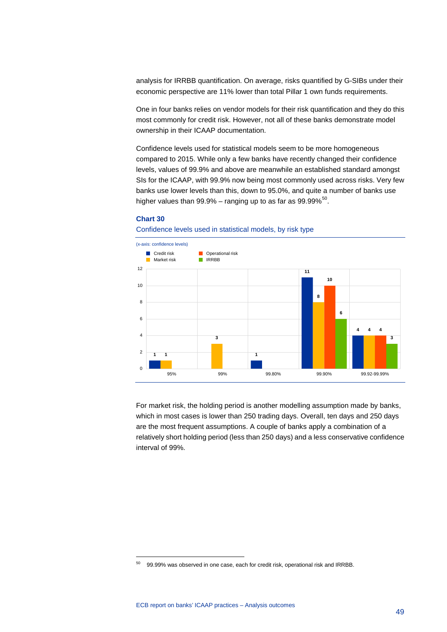analysis for IRRBB quantification. On average, risks quantified by G-SIBs under their economic perspective are 11% lower than total Pillar 1 own funds requirements.

One in four banks relies on vendor models for their risk quantification and they do this most commonly for credit risk. However, not all of these banks demonstrate model ownership in their ICAAP documentation.

Confidence levels used for statistical models seem to be more homogeneous compared to 2015. While only a few banks have recently changed their confidence levels, values of 99.9% and above are meanwhile an established standard amongst SIs for the ICAAP, with 99.9% now being most commonly used across risks. Very few banks use lower levels than this, down to 95.0%, and quite a number of banks use higher values than  $99.9\%$  – ranging up to as far as  $99.99\%$ <sup>50</sup>.

### **Chart 30**

-

#### Confidence levels used in statistical models, by risk type



For market risk, the holding period is another modelling assumption made by banks, which in most cases is lower than 250 trading days. Overall, ten days and 250 days are the most frequent assumptions. A couple of banks apply a combination of a relatively short holding period (less than 250 days) and a less conservative confidence interval of 99%.

<span id="page-49-0"></span><sup>50</sup> 99.99% was observed in one case, each for credit risk, operational risk and IRRBB.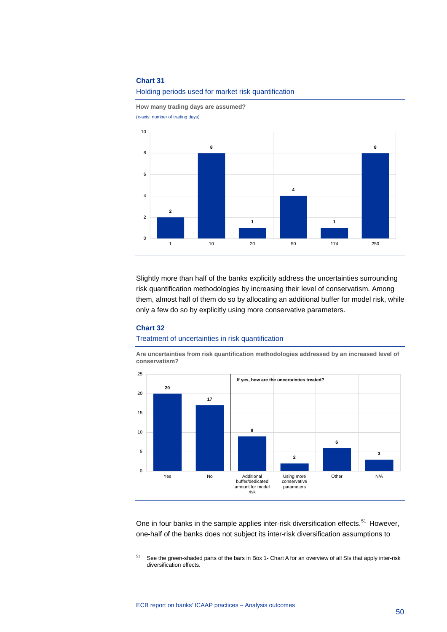

**How many trading days are assumed?** (x-axis: number of trading days)



Slightly more than half of the banks explicitly address the uncertainties surrounding risk quantification methodologies by increasing their level of conservatism. Among them, almost half of them do so by allocating an additional buffer for model risk, while only a few do so by explicitly using more conservative parameters.

### **Chart 32**

-

#### Treatment of uncertainties in risk quantification

**Are uncertainties from risk quantification methodologies addressed by an increased level of conservatism?**



One in four banks in the sample applies inter-risk diversification effects.<sup>[51](#page-50-0)</sup> However, one-half of the banks does not subject its inter-risk diversification assumptions to

<span id="page-50-0"></span><sup>51</sup> See the green-shaded parts of the bars in Box 1- Chart A for an overview of all SIs that apply inter-risk diversification effects.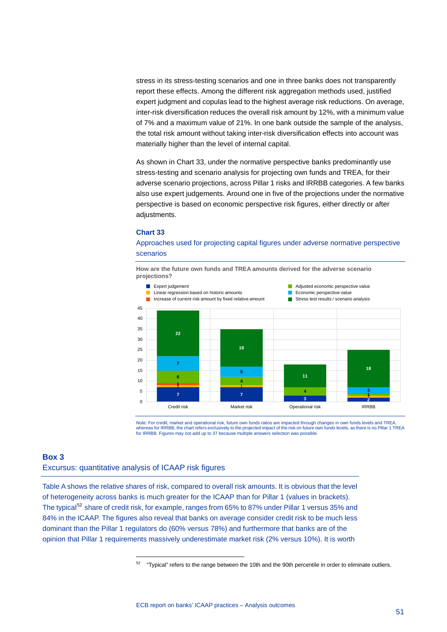stress in its stress-testing scenarios and one in three banks does not transparently report these effects. Among the different risk aggregation methods used, justified expert judgment and copulas lead to the highest average risk reductions. On average, inter-risk diversification reduces the overall risk amount by 12%, with a minimum value of 7% and a maximum value of 21%. In one bank outside the sample of the analysis, the total risk amount without taking inter-risk diversification effects into account was materially higher than the level of internal capital.

As shown in Chart 33, under the normative perspective banks predominantly use stress-testing and scenario analysis for projecting own funds and TREA, for their adverse scenario projections, across Pillar 1 risks and IRRBB categories. A few banks also use expert judgements. Around one in five of the projections under the normative perspective is based on economic perspective risk figures, either directly or after adjustments.

#### **Chart 33**

### Approaches used for projecting capital figures under adverse normative perspective scenarios

**How are the future own funds and TREA amounts derived for the adverse scenario projections?**



Note: For credit, market and operational risk, future own funds ratios are impacted through changes in own funds levels and TREA,<br>whereas for IRRBB, the chart refers exclusively to the projected impact of the risk on futur for IRRBB. Figures may not add up to 37 because multiple answers selection was possible.

#### <span id="page-51-0"></span>**Box 3**

### Excursus: quantitative analysis of ICAAP risk figures

-

<span id="page-51-1"></span>Table A shows the relative shares of risk, compared to overall risk amounts. It is obvious that the level of heterogeneity across banks is much greater for the ICAAP than for Pillar 1 (values in brackets). The typical<sup>[52](#page-51-1)</sup> share of credit risk, for example, ranges from 65% to 87% under Pillar 1 versus 35% and 84% in the ICAAP. The figures also reveal that banks on average consider credit risk to be much less dominant than the Pillar 1 regulators do (60% versus 78%) and furthermore that banks are of the opinion that Pillar 1 requirements massively underestimate market risk (2% versus 10%). It is worth

 $52$  "Typical" refers to the range between the 10th and the 90th percentile in order to eliminate outliers.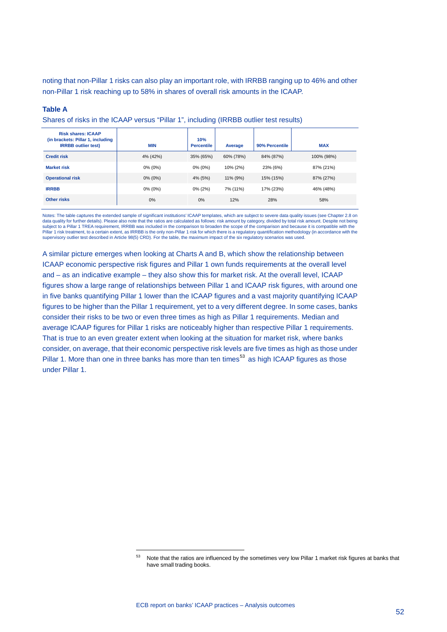noting that non-Pillar 1 risks can also play an important role, with IRRBB ranging up to 46% and other non-Pillar 1 risk reaching up to 58% in shares of overall risk amounts in the ICAAP.

#### **Table A**

Shares of risks in the ICAAP versus "Pillar 1", including (IRRBB outlier test results)

| <b>Risk shares: ICAAP</b><br>(in brackets: Pillar 1, including<br><b>IRRBB</b> outlier test) | <b>MIN</b> | 10%<br><b>Percentile</b> | Average   | 90% Percentile | <b>MAX</b> |
|----------------------------------------------------------------------------------------------|------------|--------------------------|-----------|----------------|------------|
| <b>Credit risk</b>                                                                           | 4% (42%)   | 35% (65%)                | 60% (78%) | 84% (87%)      | 100% (98%) |
| <b>Market risk</b>                                                                           | 0% (0%)    | $0\%$ (0%)               | 10% (2%)  | 23% (6%)       | 87% (21%)  |
| <b>Operational risk</b>                                                                      | $0\%$ (0%) | 4% (5%)                  | 11% (9%)  | 15% (15%)      | 87% (27%)  |
| <b>IRRBB</b>                                                                                 | $0\%$ (0%) | $0\%$ (2%)               | 7% (11%)  | 17% (23%)      | 46% (48%)  |
| Other risks                                                                                  | $0\%$      | 0%                       | 12%       | 28%            | 58%        |

Notes: The table captures the extended sample of significant institutions' ICAAP templates, which are subject to severe data quality issues (see Chapter 2.8 on data quality for further details). Please also note that the ratios are calculated as follows: risk amount by category, divided by total risk amount. Despite not being subject to a Pillar 1 TREA requirement, IRRBB was included in the comparison to broaden the scope of the comparison and because it is compatible with the Pillar 1 risk treatment, to a certain extent, as IRRBB is the only non-Pillar 1 risk for which there is a regulatory quantification methodology (in accordance with the supervisory outlier test described in Article 98(5) CRD). For the table, the maximum impact of the six regulatory scenarios was used.

A similar picture emerges when looking at Charts A and B, which show the relationship between ICAAP economic perspective risk figures and Pillar 1 own funds requirements at the overall level and – as an indicative example – they also show this for market risk. At the overall level, ICAAP figures show a large range of relationships between Pillar 1 and ICAAP risk figures, with around one in five banks quantifying Pillar 1 lower than the ICAAP figures and a vast majority quantifying ICAAP figures to be higher than the Pillar 1 requirement, yet to a very different degree. In some cases, banks consider their risks to be two or even three times as high as Pillar 1 requirements. Median and average ICAAP figures for Pillar 1 risks are noticeably higher than respective Pillar 1 requirements. That is true to an even greater extent when looking at the situation for market risk, where banks consider, on average, that their economic perspective risk levels are five times as high as those under Pillar 1. More than one in three banks has more than ten times<sup>[53](#page-52-0)</sup> as high ICAAP figures as those under Pillar 1.

<span id="page-52-0"></span><sup>53</sup> Note that the ratios are influenced by the sometimes very low Pillar 1 market risk figures at banks that have small trading books.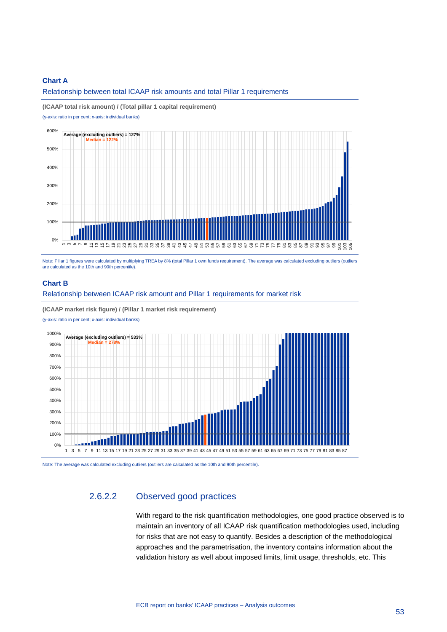### **Chart A**

Relationship between total ICAAP risk amounts and total Pillar 1 requirements

**(ICAAP total risk amount) / (Total pillar 1 capital requirement)**

(y-axis: ratio in per cent; x-axis: individual banks)



Note: Pillar 1 figures were calculated by multiplying TREA by 8% (total Pillar 1 own funds requirement). The average was calculated excluding outliers (outliers are calculated as the 10th and 90th percentile).

#### **Chart B**

Relationship between ICAAP risk amount and Pillar 1 requirements for market risk

**(ICAAP market risk figure) / (Pillar 1 market risk requirement)**

(y-axis: ratio in per cent; x-axis: individual banks)



Note: The average was calculated excluding outliers (outliers are calculated as the 10th and 90th percentile).

# 2.6.2.2 Observed good practices

With regard to the risk quantification methodologies, one good practice observed is to maintain an inventory of all ICAAP risk quantification methodologies used, including for risks that are not easy to quantify. Besides a description of the methodological approaches and the parametrisation, the inventory contains information about the validation history as well about imposed limits, limit usage, thresholds, etc. This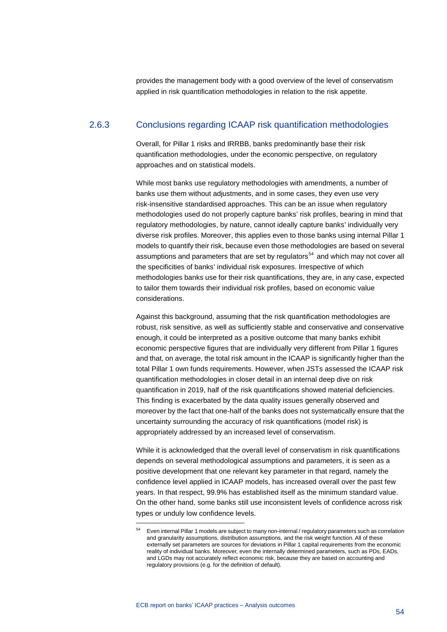provides the management body with a good overview of the level of conservatism applied in risk quantification methodologies in relation to the risk appetite.

# 2.6.3 Conclusions regarding ICAAP risk quantification methodologies

Overall, for Pillar 1 risks and IRRBB, banks predominantly base their risk quantification methodologies, under the economic perspective, on regulatory approaches and on statistical models.

While most banks use regulatory methodologies with amendments, a number of banks use them without adjustments, and in some cases, they even use very risk-insensitive standardised approaches. This can be an issue when regulatory methodologies used do not properly capture banks' risk profiles, bearing in mind that regulatory methodologies, by nature, cannot ideally capture banks' individually very diverse risk profiles. Moreover, this applies even to those banks using internal Pillar 1 models to quantify their risk, because even those methodologies are based on several assumptions and parameters that are set by regulators<sup>[54](#page-54-0)</sup> and which may not cover all the specificities of banks' individual risk exposures. Irrespective of which methodologies banks use for their risk quantifications, they are, in any case, expected to tailor them towards their individual risk profiles, based on economic value considerations.

Against this background, assuming that the risk quantification methodologies are robust, risk sensitive, as well as sufficiently stable and conservative and conservative enough, it could be interpreted as a positive outcome that many banks exhibit economic perspective figures that are individually very different from Pillar 1 figures and that, on average, the total risk amount in the ICAAP is significantly higher than the total Pillar 1 own funds requirements. However, when JSTs assessed the ICAAP risk quantification methodologies in closer detail in an internal deep dive on risk quantification in 2019, half of the risk quantifications showed material deficiencies. This finding is exacerbated by the data quality issues generally observed and moreover by the fact that one-half of the banks does not systematically ensure that the uncertainty surrounding the accuracy of risk quantifications (model risk) is appropriately addressed by an increased level of conservatism.

While it is acknowledged that the overall level of conservatism in risk quantifications depends on several methodological assumptions and parameters, it is seen as a positive development that one relevant key parameter in that regard, namely the confidence level applied in ICAAP models, has increased overall over the past few years. In that respect, 99.9% has established itself as the minimum standard value. On the other hand, some banks still use inconsistent levels of confidence across risk types or unduly low confidence levels.

<span id="page-54-0"></span><sup>54</sup> Even internal Pillar 1 models are subject to many non-internal / regulatory parameters such as correlation and granularity assumptions, distribution assumptions, and the risk weight function. All of these externally set parameters are sources for deviations in Pillar 1 capital requirements from the economic reality of individual banks. Moreover, even the internally determined parameters, such as PDs, EADs, and LGDs may not accurately reflect economic risk, because they are based on accounting and regulatory provisions (e.g. for the definition of default).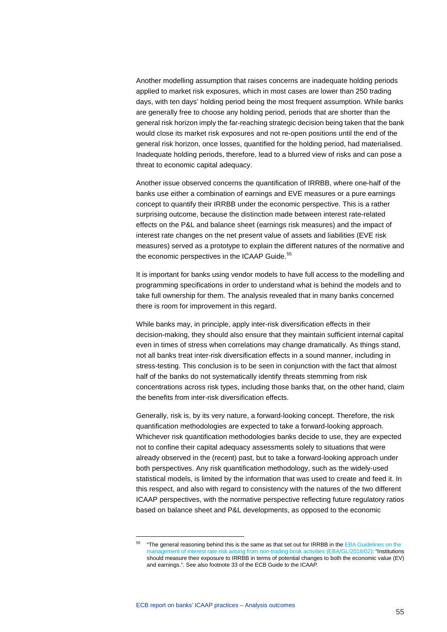Another modelling assumption that raises concerns are inadequate holding periods applied to market risk exposures, which in most cases are lower than 250 trading days, with ten days' holding period being the most frequent assumption. While banks are generally free to choose any holding period, periods that are shorter than the general risk horizon imply the far-reaching strategic decision being taken that the bank would close its market risk exposures and not re-open positions until the end of the general risk horizon, once losses, quantified for the holding period, had materialised. Inadequate holding periods, therefore, lead to a blurred view of risks and can pose a threat to economic capital adequacy.

Another issue observed concerns the quantification of IRRBB, where one-half of the banks use either a combination of earnings and EVE measures or a pure earnings concept to quantify their IRRBB under the economic perspective. This is a rather surprising outcome, because the distinction made between interest rate-related effects on the P&L and balance sheet (earnings risk measures) and the impact of interest rate changes on the net present value of assets and liabilities (EVE risk measures) served as a prototype to explain the different natures of the normative and the economic perspectives in the ICAAP Guide.<sup>[55](#page-55-0)</sup>

It is important for banks using vendor models to have full access to the modelling and programming specifications in order to understand what is behind the models and to take full ownership for them. The analysis revealed that in many banks concerned there is room for improvement in this regard.

While banks may, in principle, apply inter-risk diversification effects in their decision-making, they should also ensure that they maintain sufficient internal capital even in times of stress when correlations may change dramatically. As things stand, not all banks treat inter-risk diversification effects in a sound manner, including in stress-testing. This conclusion is to be seen in conjunction with the fact that almost half of the banks do not systematically identify threats stemming from risk concentrations across risk types, including those banks that, on the other hand, claim the benefits from inter-risk diversification effects.

Generally, risk is, by its very nature, a forward-looking concept. Therefore, the risk quantification methodologies are expected to take a forward-looking approach. Whichever risk quantification methodologies banks decide to use, they are expected not to confine their capital adequacy assessments solely to situations that were already observed in the (recent) past, but to take a forward-looking approach under both perspectives. Any risk quantification methodology, such as the widely-used statistical models, is limited by the information that was used to create and feed it. In this respect, and also with regard to consistency with the natures of the two different ICAAP perspectives, with the normative perspective reflecting future regulatory ratios based on balance sheet and P&L developments, as opposed to the economic

<span id="page-55-0"></span><sup>&</sup>lt;sup>55</sup> "The general reasoning behind this is the same as that set out for IRRBB in the EBA Guidelines on the [management of interest rate risk arising from non-trading book activities \(EBA/GL/2018/02\):](https://eba.europa.eu/sites/default/documents/files/documents/10180/2282655/169993e1-ad7a-4d78-8a27-1975b4860da0/Guidelines%20on%20the%20management%20of%20interest%20rate%20risk%20arising%20from%20non-trading%20activities%20%28EBA-GL-2018-02%29.pdf?retry=1) "Institutions should measure their exposure to IRRBB in terms of potential changes to both the economic value (EV) and earnings.". See also footnote 33 of the ECB Guide to the ICAAP.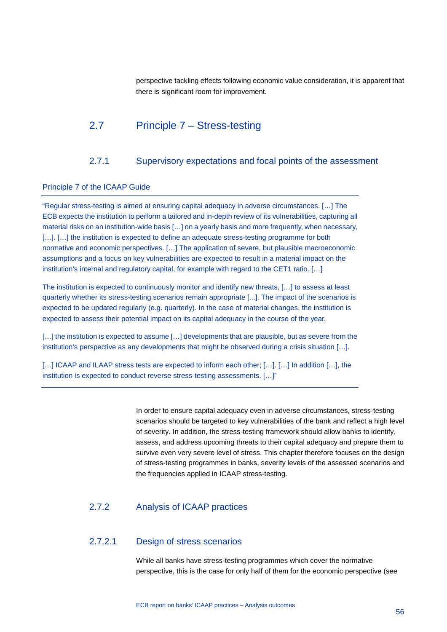<span id="page-56-0"></span>perspective tackling effects following economic value consideration, it is apparent that there is significant room for improvement.

# 2.7 Principle 7 – Stress-testing

# 2.7.1 Supervisory expectations and focal points of the assessment

### <span id="page-56-1"></span>Principle 7 of the ICAAP Guide

"Regular stress-testing is aimed at ensuring capital adequacy in adverse circumstances. […] The ECB expects the institution to perform a tailored and in-depth review of its vulnerabilities, capturing all material risks on an institution-wide basis […] on a yearly basis and more frequently, when necessary, [...]. [...] the institution is expected to define an adequate stress-testing programme for both normative and economic perspectives. […] The application of severe, but plausible macroeconomic assumptions and a focus on key vulnerabilities are expected to result in a material impact on the institution's internal and regulatory capital, for example with regard to the CET1 ratio. [...]

The institution is expected to continuously monitor and identify new threats, […] to assess at least quarterly whether its stress-testing scenarios remain appropriate [...]. The impact of the scenarios is expected to be updated regularly (e.g. quarterly). In the case of material changes, the institution is expected to assess their potential impact on its capital adequacy in the course of the year.

[...] the institution is expected to assume [...] developments that are plausible, but as severe from the institution's perspective as any developments that might be observed during a crisis situation […].

[...] ICAAP and ILAAP stress tests are expected to inform each other; [...]. [...] In addition [...], the institution is expected to conduct reverse stress-testing assessments. […]"

> In order to ensure capital adequacy even in adverse circumstances, stress-testing scenarios should be targeted to key vulnerabilities of the bank and reflect a high level of severity. In addition, the stress-testing framework should allow banks to identify, assess, and address upcoming threats to their capital adequacy and prepare them to survive even very severe level of stress. This chapter therefore focuses on the design of stress-testing programmes in banks, severity levels of the assessed scenarios and the frequencies applied in ICAAP stress-testing.

# 2.7.2 Analysis of ICAAP practices

### 2.7.2.1 Design of stress scenarios

While all banks have stress-testing programmes which cover the normative perspective, this is the case for only half of them for the economic perspective (see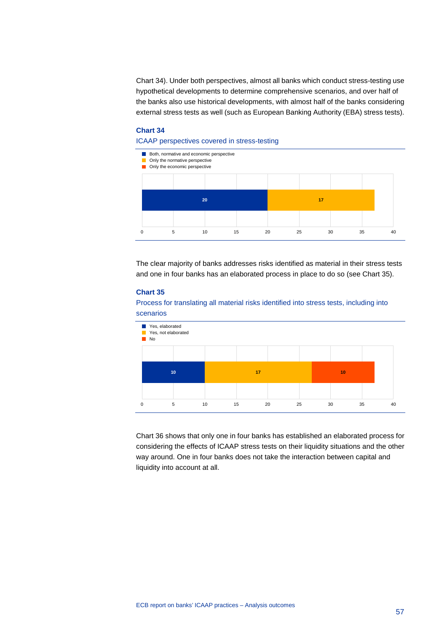Chart 34). Under both perspectives, almost all banks which conduct stress-testing use hypothetical developments to determine comprehensive scenarios, and over half of the banks also use historical developments, with almost half of the banks considering external stress tests as well (such as European Banking Authority (EBA) stress tests).

# **Chart 34**

#### ICAAP perspectives covered in stress-testing



The clear majority of banks addresses risks identified as material in their stress tests and one in four banks has an elaborated process in place to do so (see Chart 35).

### **Chart 35**

Process for translating all material risks identified into stress tests, including into scenarios



Chart 36 shows that only one in four banks has established an elaborated process for considering the effects of ICAAP stress tests on their liquidity situations and the other way around. One in four banks does not take the interaction between capital and liquidity into account at all.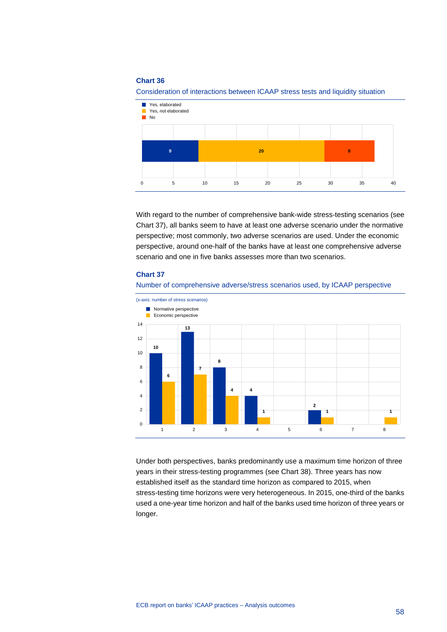

Consideration of interactions between ICAAP stress tests and liquidity situation

With regard to the number of comprehensive bank-wide stress-testing scenarios (see Chart 37), all banks seem to have at least one adverse scenario under the normative perspective; most commonly, two adverse scenarios are used. Under the economic perspective, around one-half of the banks have at least one comprehensive adverse scenario and one in five banks assesses more than two scenarios.

#### **Chart 37**





Under both perspectives, banks predominantly use a maximum time horizon of three years in their stress-testing programmes (see Chart 38). Three years has now established itself as the standard time horizon as compared to 2015, when stress-testing time horizons were very heterogeneous. In 2015, one-third of the banks used a one-year time horizon and half of the banks used time horizon of three years or longer.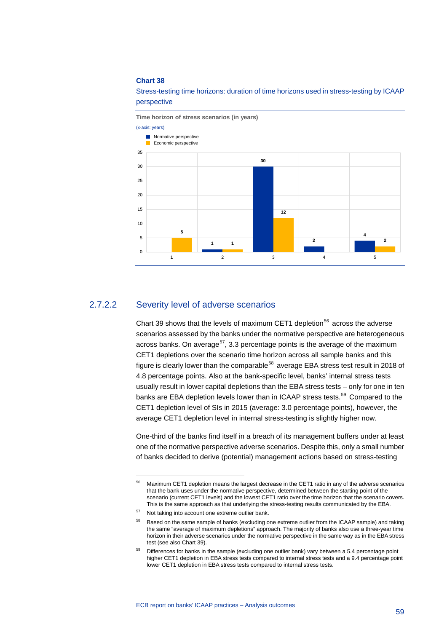Stress-testing time horizons: duration of time horizons used in stress-testing by ICAAP perspective



# 2.7.2.2 Severity level of adverse scenarios

Chart 39 shows that the levels of maximum CET1 depletion<sup>[56](#page-59-0)</sup> across the adverse scenarios assessed by the banks under the normative perspective are heterogeneous across banks. On average<sup>57</sup>, 3.3 percentage points is the average of the maximum CET1 depletions over the scenario time horizon across all sample banks and this figure is clearly lower than the comparable<sup>[58](#page-59-2)</sup> average EBA stress test result in 2018 of 4.8 percentage points. Also at the bank-specific level, banks' internal stress tests usually result in lower capital depletions than the EBA stress tests – only for one in ten banks are EBA depletion levels lower than in ICAAP stress tests.<sup>[59](#page-59-3)</sup> Compared to the CET1 depletion level of SIs in 2015 (average: 3.0 percentage points), however, the average CET1 depletion level in internal stress-testing is slightly higher now.

One-third of the banks find itself in a breach of its management buffers under at least one of the normative perspective adverse scenarios. Despite this, only a small number of banks decided to derive (potential) management actions based on stress-testing

<span id="page-59-0"></span><sup>56</sup> Maximum CET1 depletion means the largest decrease in the CET1 ratio in any of the adverse scenarios that the bank uses under the normative perspective, determined between the starting point of the scenario (current CET1 levels) and the lowest CET1 ratio over the time horizon that the scenario covers. This is the same approach as that underlying the stress-testing results communicated by the EBA.

<span id="page-59-1"></span><sup>57</sup> Not taking into account one extreme outlier bank.

<span id="page-59-2"></span><sup>&</sup>lt;sup>58</sup> Based on the same sample of banks (excluding one extreme outlier from the ICAAP sample) and taking the same "average of maximum depletions" approach. The majority of banks also use a three-year time horizon in their adverse scenarios under the normative perspective in the same way as in the EBA stress test (see also Chart 39).

<span id="page-59-3"></span>Differences for banks in the sample (excluding one outlier bank) vary between a 5.4 percentage point higher CET1 depletion in EBA stress tests compared to internal stress tests and a 9.4 percentage point lower CET1 depletion in EBA stress tests compared to internal stress tests.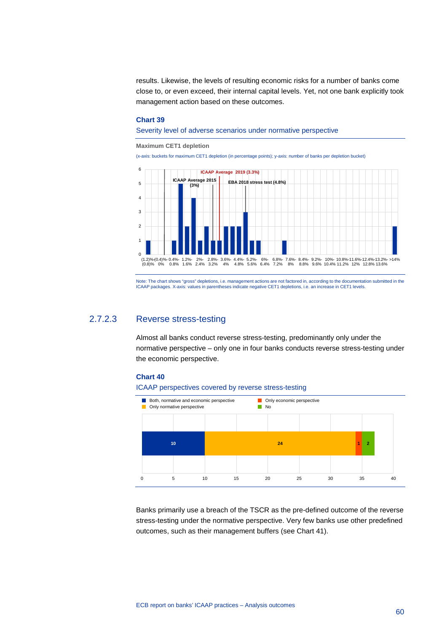results. Likewise, the levels of resulting economic risks for a number of banks come close to, or even exceed, their internal capital levels. Yet, not one bank explicitly took management action based on these outcomes.

#### **Chart 39**

Severity level of adverse scenarios under normative perspective

**Maximum CET1 depletion**

(x-axis: buckets for maximum CET1 depletion (in percentage points); y-axis: number of banks per depletion bucket)



Note: The chart shows "gross" depletions, i.e. management actions are not factored in, according to the documentation submitted in the<br>ICAAP packages. X-axis: values in parentheses indicate negative CET1 depletions, i.e. a

# 2.7.2.3 Reverse stress-testing

Almost all banks conduct reverse stress-testing, predominantly only under the normative perspective – only one in four banks conducts reverse stress-testing under the economic perspective.

#### **Chart 40**





Banks primarily use a breach of the TSCR as the pre-defined outcome of the reverse stress-testing under the normative perspective. Very few banks use other predefined outcomes, such as their management buffers (see Chart 41).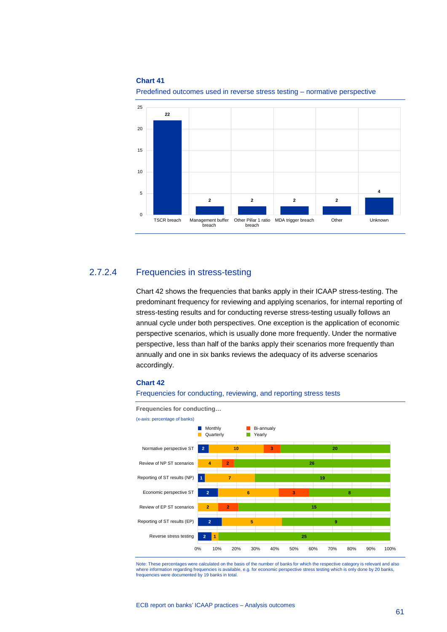

#### Predefined outcomes used in reverse stress testing – normative perspective

# 2.7.2.4 Frequencies in stress-testing

Chart 42 shows the frequencies that banks apply in their ICAAP stress-testing. The predominant frequency for reviewing and applying scenarios, for internal reporting of stress-testing results and for conducting reverse stress-testing usually follows an annual cycle under both perspectives. One exception is the application of economic perspective scenarios, which is usually done more frequently. Under the normative perspective, less than half of the banks apply their scenarios more frequently than annually and one in six banks reviews the adequacy of its adverse scenarios accordingly.

#### **Chart 42**

#### Frequencies for conducting, reviewing, and reporting stress tests



Note: These percentages were calculated on the basis of the number of banks for which the respective category is relevant and also<br>where information regarding frequencies is available, e.g. for economic perspective stress frequencies were documented by 19 banks in total.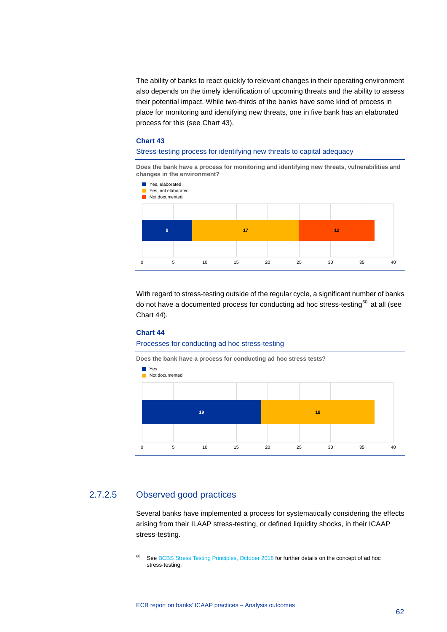The ability of banks to react quickly to relevant changes in their operating environment also depends on the timely identification of upcoming threats and the ability to assess their potential impact. While two-thirds of the banks have some kind of process in place for monitoring and identifying new threats, one in five bank has an elaborated process for this (see Chart 43).

#### **Chart 43**

#### Stress-testing process for identifying new threats to capital adequacy

**Does the bank have a process for monitoring and identifying new threats, vulnerabilities and changes in the environment?**



With regard to stress-testing outside of the regular cycle, a significant number of banks do not have a documented process for conducting ad hoc stress-testing<sup>[60](#page-62-0)</sup> at all (see Chart 44).

#### **Chart 44**

#### Processes for conducting ad hoc stress-testing



# <span id="page-62-0"></span>2.7.2.5 Observed good practices

-

Several banks have implemented a process for systematically considering the effects arising from their ILAAP stress-testing, or defined liquidity shocks, in their ICAAP stress-testing.

<sup>&</sup>lt;sup>60</sup> Se[e BCBS Stress Testing Principles, October 2018](https://www.bis.org/bcbs/publ/d450.pdf) for further details on the concept of ad hoc stress-testing.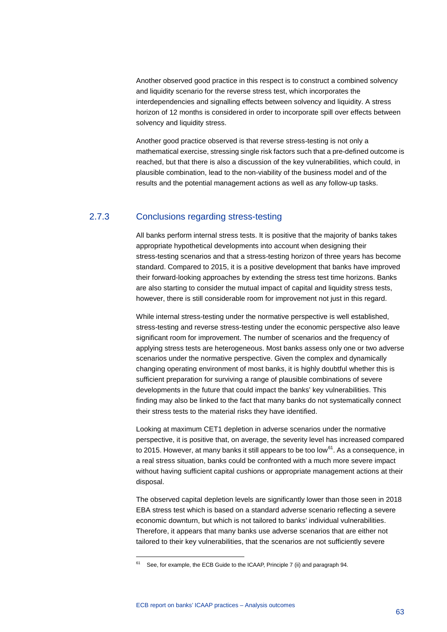Another observed good practice in this respect is to construct a combined solvency and liquidity scenario for the reverse stress test, which incorporates the interdependencies and signalling effects between solvency and liquidity. A stress horizon of 12 months is considered in order to incorporate spill over effects between solvency and liquidity stress.

Another good practice observed is that reverse stress-testing is not only a mathematical exercise, stressing single risk factors such that a pre-defined outcome is reached, but that there is also a discussion of the key vulnerabilities, which could, in plausible combination, lead to the non-viability of the business model and of the results and the potential management actions as well as any follow-up tasks.

# 2.7.3 Conclusions regarding stress-testing

All banks perform internal stress tests. It is positive that the majority of banks takes appropriate hypothetical developments into account when designing their stress-testing scenarios and that a stress-testing horizon of three years has become standard. Compared to 2015, it is a positive development that banks have improved their forward-looking approaches by extending the stress test time horizons. Banks are also starting to consider the mutual impact of capital and liquidity stress tests, however, there is still considerable room for improvement not just in this regard.

While internal stress-testing under the normative perspective is well established, stress-testing and reverse stress-testing under the economic perspective also leave significant room for improvement. The number of scenarios and the frequency of applying stress tests are heterogeneous. Most banks assess only one or two adverse scenarios under the normative perspective. Given the complex and dynamically changing operating environment of most banks, it is highly doubtful whether this is sufficient preparation for surviving a range of plausible combinations of severe developments in the future that could impact the banks' key vulnerabilities. This finding may also be linked to the fact that many banks do not systematically connect their stress tests to the material risks they have identified.

Looking at maximum CET1 depletion in adverse scenarios under the normative perspective, it is positive that, on average, the severity level has increased compared to 2015. However, at many banks it still appears to be too low<sup>61</sup>. As a consequence, in a real stress situation, banks could be confronted with a much more severe impact without having sufficient capital cushions or appropriate management actions at their disposal.

The observed capital depletion levels are significantly lower than those seen in 2018 EBA stress test which is based on a standard adverse scenario reflecting a severe economic downturn, but which is not tailored to banks' individual vulnerabilities. Therefore, it appears that many banks use adverse scenarios that are either not tailored to their key vulnerabilities, that the scenarios are not sufficiently severe

<span id="page-63-0"></span> $61$  See, for example, the ECB Guide to the ICAAP, Principle 7 (ii) and paragraph 94.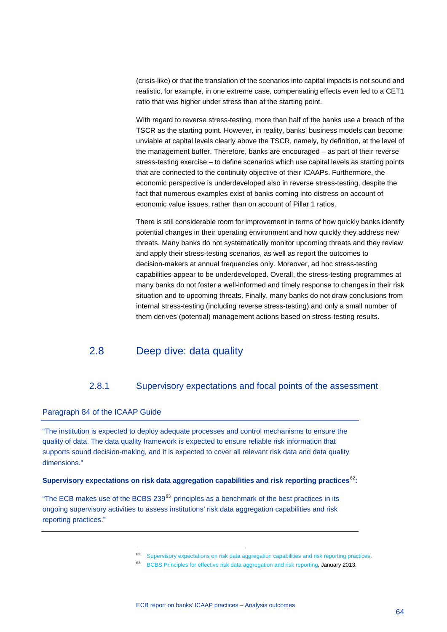(crisis-like) or that the translation of the scenarios into capital impacts is not sound and realistic, for example, in one extreme case, compensating effects even led to a CET1 ratio that was higher under stress than at the starting point.

With regard to reverse stress-testing, more than half of the banks use a breach of the TSCR as the starting point. However, in reality, banks' business models can become unviable at capital levels clearly above the TSCR, namely, by definition, at the level of the management buffer. Therefore, banks are encouraged – as part of their reverse stress-testing exercise – to define scenarios which use capital levels as starting points that are connected to the continuity objective of their ICAAPs. Furthermore, the economic perspective is underdeveloped also in reverse stress-testing, despite the fact that numerous examples exist of banks coming into distress on account of economic value issues, rather than on account of Pillar 1 ratios.

There is still considerable room for improvement in terms of how quickly banks identify potential changes in their operating environment and how quickly they address new threats. Many banks do not systematically monitor upcoming threats and they review and apply their stress-testing scenarios, as well as report the outcomes to decision-makers at annual frequencies only. Moreover, ad hoc stress-testing capabilities appear to be underdeveloped. Overall, the stress-testing programmes at many banks do not foster a well-informed and timely response to changes in their risk situation and to upcoming threats. Finally, many banks do not draw conclusions from internal stress-testing (including reverse stress-testing) and only a small number of them derives (potential) management actions based on stress-testing results.

# <span id="page-64-0"></span>2.8 Deep dive: data quality

# 2.8.1 Supervisory expectations and focal points of the assessment

## <span id="page-64-1"></span>Paragraph 84 of the ICAAP Guide

-

"The institution is expected to deploy adequate processes and control mechanisms to ensure the quality of data. The data quality framework is expected to ensure reliable risk information that supports sound decision-making, and it is expected to cover all relevant risk data and data quality dimensions."

## **Supervisory expectations on risk data aggregation capabilities and risk reporting practices**[62](#page-64-2)**:**

<span id="page-64-3"></span><span id="page-64-2"></span>"The ECB makes use of the BCBS 239 $<sup>63</sup>$  $<sup>63</sup>$  $<sup>63</sup>$  principles as a benchmark of the best practices in its</sup> ongoing supervisory activities to assess institutions' risk data aggregation capabilities and risk reporting practices."

[Supervisory expectations on risk data aggregation capabilities and risk reporting practices.](https://www.bankingsupervision.europa.eu/press/letterstobanks/shared/pdf/2019/ssm.supervisory_expectations_on_risk_data_aggregation_capabilities_and_risk_reporting_practices_201906.en.pdf)

<sup>&</sup>lt;sup>63</sup> [BCBS Principles for effective risk data aggregation and risk reporting,](https://www.bis.org/publ/bcbs239.pdf) January 2013.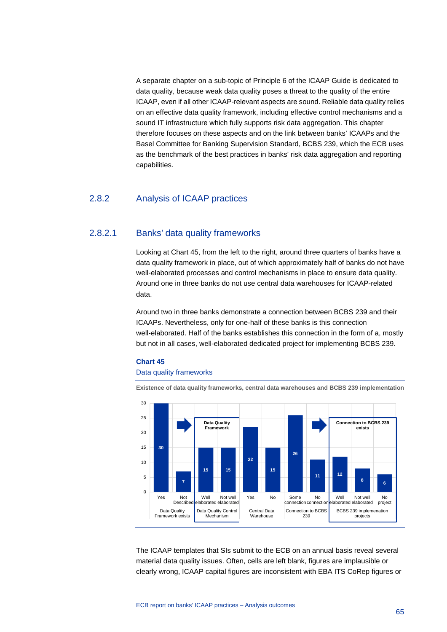A separate chapter on a sub-topic of Principle 6 of the ICAAP Guide is dedicated to data quality, because weak data quality poses a threat to the quality of the entire ICAAP, even if all other ICAAP-relevant aspects are sound. Reliable data quality relies on an effective data quality framework, including effective control mechanisms and a sound IT infrastructure which fully supports risk data aggregation. This chapter therefore focuses on these aspects and on the link between banks' ICAAPs and the Basel Committee for Banking Supervision Standard, BCBS 239, which the ECB uses as the benchmark of the best practices in banks' risk data aggregation and reporting capabilities.

# 2.8.2 Analysis of ICAAP practices

### 2.8.2.1 Banks' data quality frameworks

Looking at Chart 45, from the left to the right, around three quarters of banks have a data quality framework in place, out of which approximately half of banks do not have well-elaborated processes and control mechanisms in place to ensure data quality. Around one in three banks do not use central data warehouses for ICAAP-related data.

Around two in three banks demonstrate a connection between BCBS 239 and their ICAAPs. Nevertheless, only for one-half of these banks is this connection well-elaborated. Half of the banks establishes this connection in the form of a, mostly but not in all cases, well-elaborated dedicated project for implementing BCBS 239.

# **Chart 45**

### Data quality frameworks





The ICAAP templates that SIs submit to the ECB on an annual basis reveal several material data quality issues. Often, cells are left blank, figures are implausible or clearly wrong, ICAAP capital figures are inconsistent with EBA ITS CoRep figures or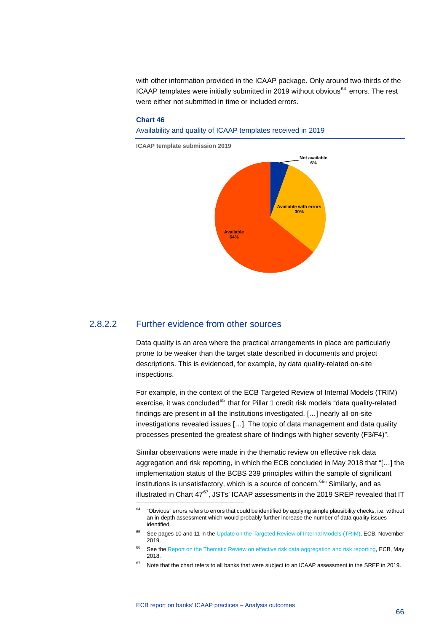with other information provided in the ICAAP package. Only around two-thirds of the ICAAP templates were initially submitted in 2019 without obvious<sup>[64](#page-66-0)</sup> errors. The rest were either not submitted in time or included errors.

#### **Chart 46**

Availability and quality of ICAAP templates received in 2019



**ICAAP template submission 2019**

## 2.8.2.2 Further evidence from other sources

-

Data quality is an area where the practical arrangements in place are particularly prone to be weaker than the target state described in documents and project descriptions. This is evidenced, for example, by data quality-related on-site inspections.

For example, in the context of the ECB Targeted Review of Internal Models (TRIM) exercise, it was concluded<sup>[65](#page-66-1)</sup> that for Pillar 1 credit risk models "data quality-related findings are present in all the institutions investigated. […] nearly all on-site investigations revealed issues […]. The topic of data management and data quality processes presented the greatest share of findings with higher severity (F3/F4)".

Similar observations were made in the thematic review on effective risk data aggregation and risk reporting, in which the ECB concluded in May 2018 that "[…] the implementation status of the BCBS 239 principles within the sample of significant institutions is unsatisfactory, which is a source of concern.<sup>[66](#page-66-2)</sup> Similarly, and as illustrated in Chart  $47^{67}$ , JSTs' ICAAP assessments in the 2019 SREP revealed that IT

<span id="page-66-0"></span> $64$  "Obvious" errors refers to errors that could be identified by applying simple plausibility checks, i.e. without an in-depth assessment which would probably further increase the number of data quality issues identified.

<span id="page-66-1"></span><sup>&</sup>lt;sup>65</sup> See pages 10 and 11 in the [Update on the Targeted Review of Internal Models \(TRIM\),](https://www.bankingsupervision.europa.eu/press/letterstobanks/shared/pdf/2019/ssm.TRIM_information_leteter_201911.en.pdf) ECB, November 2019.

<span id="page-66-2"></span><sup>&</sup>lt;sup>66</sup> See th[e Report on the Thematic Review on effective risk data aggregation and risk reporting,](https://www.bankingsupervision.europa.eu/ecb/pub/pdf/ssm.BCBS_239_report_201805.pdf) ECB, May 2018.

<span id="page-66-3"></span> $67$  Note that the chart refers to all banks that were subject to an ICAAP assessment in the SREP in 2019.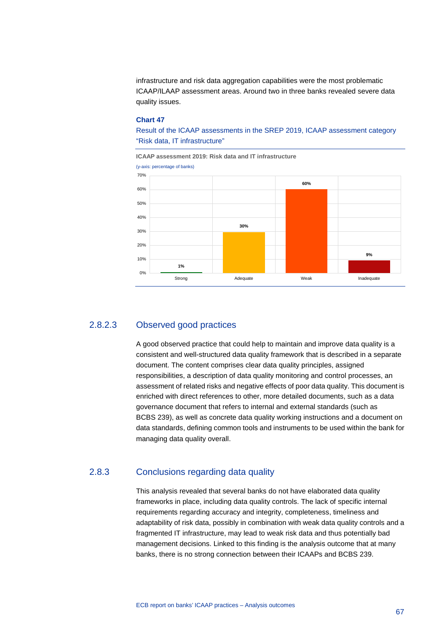infrastructure and risk data aggregation capabilities were the most problematic ICAAP/ILAAP assessment areas. Around two in three banks revealed severe data quality issues.

#### **Chart 47**

Result of the ICAAP assessments in the SREP 2019, ICAAP assessment category "Risk data, IT infrastructure"

**ICAAP assessment 2019: Risk data and IT infrastructure**



# 2.8.2.3 Observed good practices

A good observed practice that could help to maintain and improve data quality is a consistent and well-structured data quality framework that is described in a separate document. The content comprises clear data quality principles, assigned responsibilities, a description of data quality monitoring and control processes, an assessment of related risks and negative effects of poor data quality. This document is enriched with direct references to other, more detailed documents, such as a data governance document that refers to internal and external standards (such as BCBS 239), as well as concrete data quality working instructions and a document on data standards, defining common tools and instruments to be used within the bank for managing data quality overall.

# 2.8.3 Conclusions regarding data quality

This analysis revealed that several banks do not have elaborated data quality frameworks in place, including data quality controls. The lack of specific internal requirements regarding accuracy and integrity, completeness, timeliness and adaptability of risk data, possibly in combination with weak data quality controls and a fragmented IT infrastructure, may lead to weak risk data and thus potentially bad management decisions. Linked to this finding is the analysis outcome that at many banks, there is no strong connection between their ICAAPs and BCBS 239.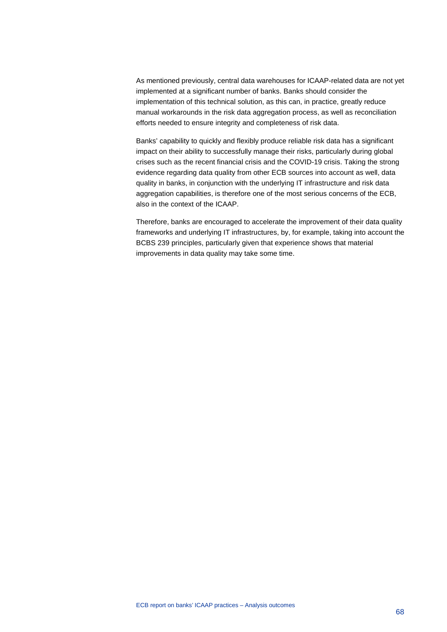As mentioned previously, central data warehouses for ICAAP-related data are not yet implemented at a significant number of banks. Banks should consider the implementation of this technical solution, as this can, in practice, greatly reduce manual workarounds in the risk data aggregation process, as well as reconciliation efforts needed to ensure integrity and completeness of risk data.

Banks' capability to quickly and flexibly produce reliable risk data has a significant impact on their ability to successfully manage their risks, particularly during global crises such as the recent financial crisis and the COVID-19 crisis. Taking the strong evidence regarding data quality from other ECB sources into account as well, data quality in banks, in conjunction with the underlying IT infrastructure and risk data aggregation capabilities, is therefore one of the most serious concerns of the ECB, also in the context of the ICAAP.

Therefore, banks are encouraged to accelerate the improvement of their data quality frameworks and underlying IT infrastructures, by, for example, taking into account the BCBS 239 principles, particularly given that experience shows that material improvements in data quality may take some time.